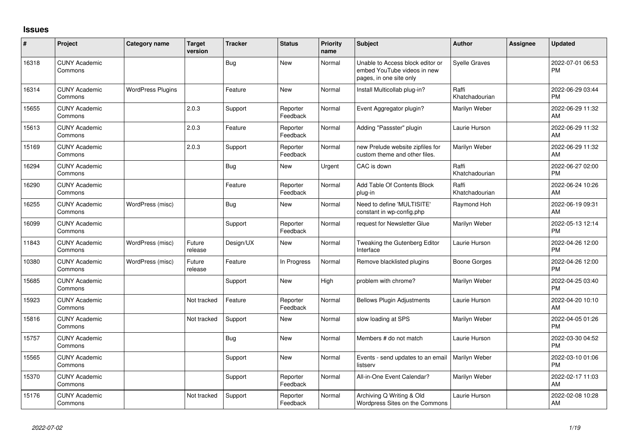## **Issues**

| ∦     | Project                         | Category name            | <b>Target</b><br>version | <b>Tracker</b> | <b>Status</b>        | <b>Priority</b><br>name | Subject                                                                                    | <b>Author</b>           | Assignee | <b>Updated</b>                |
|-------|---------------------------------|--------------------------|--------------------------|----------------|----------------------|-------------------------|--------------------------------------------------------------------------------------------|-------------------------|----------|-------------------------------|
| 16318 | <b>CUNY Academic</b><br>Commons |                          |                          | Bug            | <b>New</b>           | Normal                  | Unable to Access block editor or<br>embed YouTube videos in new<br>pages, in one site only | <b>Syelle Graves</b>    |          | 2022-07-01 06:53<br><b>PM</b> |
| 16314 | <b>CUNY Academic</b><br>Commons | <b>WordPress Plugins</b> |                          | Feature        | <b>New</b>           | Normal                  | Install Multicollab plug-in?                                                               | Raffi<br>Khatchadourian |          | 2022-06-29 03:44<br><b>PM</b> |
| 15655 | <b>CUNY Academic</b><br>Commons |                          | 2.0.3                    | Support        | Reporter<br>Feedback | Normal                  | Event Aggregator plugin?                                                                   | Marilyn Weber           |          | 2022-06-29 11:32<br>AM        |
| 15613 | <b>CUNY Academic</b><br>Commons |                          | 2.0.3                    | Feature        | Reporter<br>Feedback | Normal                  | Adding "Passster" plugin                                                                   | Laurie Hurson           |          | 2022-06-29 11:32<br><b>AM</b> |
| 15169 | <b>CUNY Academic</b><br>Commons |                          | 2.0.3                    | Support        | Reporter<br>Feedback | Normal                  | new Prelude website zipfiles for<br>custom theme and other files.                          | Marilyn Weber           |          | 2022-06-29 11:32<br>AM        |
| 16294 | <b>CUNY Academic</b><br>Commons |                          |                          | Bug            | <b>New</b>           | Urgent                  | CAC is down                                                                                | Raffi<br>Khatchadourian |          | 2022-06-27 02:00<br><b>PM</b> |
| 16290 | <b>CUNY Academic</b><br>Commons |                          |                          | Feature        | Reporter<br>Feedback | Normal                  | Add Table Of Contents Block<br>plug-in                                                     | Raffi<br>Khatchadourian |          | 2022-06-24 10:26<br><b>AM</b> |
| 16255 | <b>CUNY Academic</b><br>Commons | WordPress (misc)         |                          | Bug            | New                  | Normal                  | Need to define 'MULTISITE'<br>constant in wp-config.php                                    | Raymond Hoh             |          | 2022-06-19 09:31<br>AM        |
| 16099 | <b>CUNY Academic</b><br>Commons |                          |                          | Support        | Reporter<br>Feedback | Normal                  | request for Newsletter Glue                                                                | Marilyn Weber           |          | 2022-05-13 12:14<br><b>PM</b> |
| 11843 | <b>CUNY Academic</b><br>Commons | WordPress (misc)         | Future<br>release        | Design/UX      | <b>New</b>           | Normal                  | Tweaking the Gutenberg Editor<br>Interface                                                 | Laurie Hurson           |          | 2022-04-26 12:00<br><b>PM</b> |
| 10380 | <b>CUNY Academic</b><br>Commons | WordPress (misc)         | Future<br>release        | Feature        | In Progress          | Normal                  | Remove blacklisted plugins                                                                 | Boone Gorges            |          | 2022-04-26 12:00<br><b>PM</b> |
| 15685 | <b>CUNY Academic</b><br>Commons |                          |                          | Support        | <b>New</b>           | High                    | problem with chrome?                                                                       | Marilyn Weber           |          | 2022-04-25 03:40<br><b>PM</b> |
| 15923 | <b>CUNY Academic</b><br>Commons |                          | Not tracked              | Feature        | Reporter<br>Feedback | Normal                  | <b>Bellows Plugin Adjustments</b>                                                          | Laurie Hurson           |          | 2022-04-20 10:10<br><b>AM</b> |
| 15816 | <b>CUNY Academic</b><br>Commons |                          | Not tracked              | Support        | New                  | Normal                  | slow loading at SPS                                                                        | Marilyn Weber           |          | 2022-04-05 01:26<br><b>PM</b> |
| 15757 | <b>CUNY Academic</b><br>Commons |                          |                          | Bug            | <b>New</b>           | Normal                  | Members # do not match                                                                     | Laurie Hurson           |          | 2022-03-30 04:52<br><b>PM</b> |
| 15565 | <b>CUNY Academic</b><br>Commons |                          |                          | Support        | <b>New</b>           | Normal                  | Events - send updates to an email<br>listserv                                              | Marilyn Weber           |          | 2022-03-10 01:06<br><b>PM</b> |
| 15370 | <b>CUNY Academic</b><br>Commons |                          |                          | Support        | Reporter<br>Feedback | Normal                  | All-in-One Event Calendar?                                                                 | Marilyn Weber           |          | 2022-02-17 11:03<br>AM        |
| 15176 | <b>CUNY Academic</b><br>Commons |                          | Not tracked              | Support        | Reporter<br>Feedback | Normal                  | Archiving Q Writing & Old<br>Wordpress Sites on the Commons                                | Laurie Hurson           |          | 2022-02-08 10:28<br>AM        |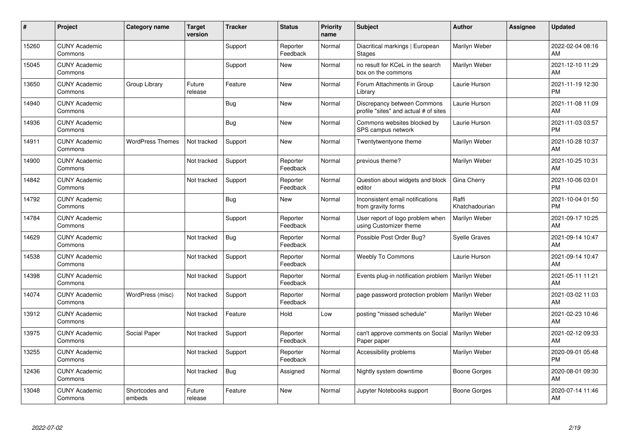| #     | Project                         | <b>Category name</b>     | <b>Target</b><br>version | <b>Tracker</b> | <b>Status</b>        | <b>Priority</b><br>name | <b>Subject</b>                                                       | <b>Author</b>           | <b>Assignee</b> | <b>Updated</b>                |
|-------|---------------------------------|--------------------------|--------------------------|----------------|----------------------|-------------------------|----------------------------------------------------------------------|-------------------------|-----------------|-------------------------------|
| 15260 | <b>CUNY Academic</b><br>Commons |                          |                          | Support        | Reporter<br>Feedback | Normal                  | Diacritical markings   European<br><b>Stages</b>                     | Marilyn Weber           |                 | 2022-02-04 08:16<br>AM        |
| 15045 | <b>CUNY Academic</b><br>Commons |                          |                          | Support        | <b>New</b>           | Normal                  | no result for KCeL in the search<br>box on the commons               | Marilyn Weber           |                 | 2021-12-10 11:29<br>AM        |
| 13650 | <b>CUNY Academic</b><br>Commons | Group Library            | Future<br>release        | Feature        | <b>New</b>           | Normal                  | Forum Attachments in Group<br>Library                                | Laurie Hurson           |                 | 2021-11-19 12:30<br><b>PM</b> |
| 14940 | <b>CUNY Academic</b><br>Commons |                          |                          | Bug            | <b>New</b>           | Normal                  | Discrepancy between Commons<br>profile "sites" and actual # of sites | Laurie Hurson           |                 | 2021-11-08 11:09<br>AM        |
| 14936 | <b>CUNY Academic</b><br>Commons |                          |                          | <b>Bug</b>     | <b>New</b>           | Normal                  | Commons websites blocked by<br>SPS campus network                    | Laurie Hurson           |                 | 2021-11-03 03:57<br><b>PM</b> |
| 14911 | <b>CUNY Academic</b><br>Commons | <b>WordPress Themes</b>  | Not tracked              | Support        | <b>New</b>           | Normal                  | Twentytwentyone theme                                                | Marilyn Weber           |                 | 2021-10-28 10:37<br><b>AM</b> |
| 14900 | <b>CUNY Academic</b><br>Commons |                          | Not tracked              | Support        | Reporter<br>Feedback | Normal                  | previous theme?                                                      | Marilyn Weber           |                 | 2021-10-25 10:31<br>AM        |
| 14842 | <b>CUNY Academic</b><br>Commons |                          | Not tracked              | Support        | Reporter<br>Feedback | Normal                  | Question about widgets and block<br>editor                           | Gina Cherry             |                 | 2021-10-06 03:01<br><b>PM</b> |
| 14792 | <b>CUNY Academic</b><br>Commons |                          |                          | Bug            | New                  | Normal                  | Inconsistent email notifications<br>from gravity forms               | Raffi<br>Khatchadourian |                 | 2021-10-04 01:50<br><b>PM</b> |
| 14784 | <b>CUNY Academic</b><br>Commons |                          |                          | Support        | Reporter<br>Feedback | Normal                  | User report of logo problem when<br>using Customizer theme           | Marilyn Weber           |                 | 2021-09-17 10:25<br>AM        |
| 14629 | <b>CUNY Academic</b><br>Commons |                          | Not tracked              | <b>Bug</b>     | Reporter<br>Feedback | Normal                  | Possible Post Order Bug?                                             | <b>Syelle Graves</b>    |                 | 2021-09-14 10:47<br>AM        |
| 14538 | <b>CUNY Academic</b><br>Commons |                          | Not tracked              | Support        | Reporter<br>Feedback | Normal                  | <b>Weebly To Commons</b>                                             | Laurie Hurson           |                 | 2021-09-14 10:47<br><b>AM</b> |
| 14398 | <b>CUNY Academic</b><br>Commons |                          | Not tracked              | Support        | Reporter<br>Feedback | Normal                  | Events plug-in notification problem                                  | Marilyn Weber           |                 | 2021-05-11 11:21<br><b>AM</b> |
| 14074 | <b>CUNY Academic</b><br>Commons | WordPress (misc)         | Not tracked              | Support        | Reporter<br>Feedback | Normal                  | page password protection problem                                     | Marilyn Weber           |                 | 2021-03-02 11:03<br><b>AM</b> |
| 13912 | <b>CUNY Academic</b><br>Commons |                          | Not tracked              | Feature        | Hold                 | Low                     | posting "missed schedule"                                            | Marilyn Weber           |                 | 2021-02-23 10:46<br><b>AM</b> |
| 13975 | <b>CUNY Academic</b><br>Commons | Social Paper             | Not tracked              | Support        | Reporter<br>Feedback | Normal                  | can't approve comments on Social<br>Paper paper                      | Marilyn Weber           |                 | 2021-02-12 09:33<br><b>AM</b> |
| 13255 | <b>CUNY Academic</b><br>Commons |                          | Not tracked              | Support        | Reporter<br>Feedback | Normal                  | Accessibility problems                                               | Marilyn Weber           |                 | 2020-09-01 05:48<br><b>PM</b> |
| 12436 | <b>CUNY Academic</b><br>Commons |                          | Not tracked              | Bug            | Assigned             | Normal                  | Nightly system downtime                                              | Boone Gorges            |                 | 2020-08-01 09:30<br>AM        |
| 13048 | <b>CUNY Academic</b><br>Commons | Shortcodes and<br>embeds | Future<br>release        | Feature        | <b>New</b>           | Normal                  | Jupyter Notebooks support                                            | Boone Gorges            |                 | 2020-07-14 11:46<br>AM        |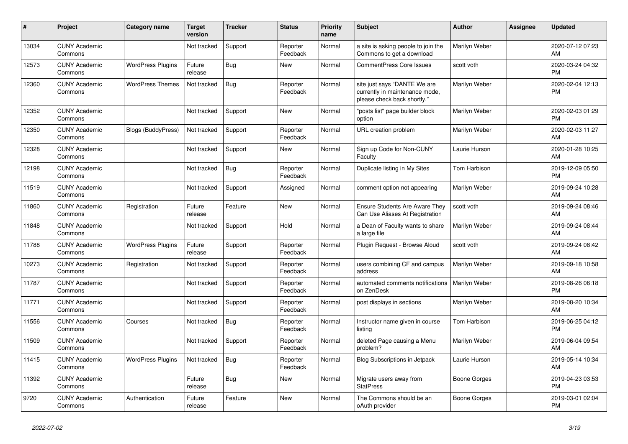| #     | Project                         | <b>Category name</b>      | <b>Target</b><br>version | <b>Tracker</b> | <b>Status</b>        | <b>Priority</b><br>name | <b>Subject</b>                                                                                | <b>Author</b> | Assignee | <b>Updated</b>                |
|-------|---------------------------------|---------------------------|--------------------------|----------------|----------------------|-------------------------|-----------------------------------------------------------------------------------------------|---------------|----------|-------------------------------|
| 13034 | <b>CUNY Academic</b><br>Commons |                           | Not tracked              | Support        | Reporter<br>Feedback | Normal                  | a site is asking people to join the<br>Commons to get a download                              | Marilyn Weber |          | 2020-07-12 07:23<br>AM        |
| 12573 | <b>CUNY Academic</b><br>Commons | <b>WordPress Plugins</b>  | Future<br>release        | Bug            | <b>New</b>           | Normal                  | <b>CommentPress Core Issues</b>                                                               | scott voth    |          | 2020-03-24 04:32<br><b>PM</b> |
| 12360 | <b>CUNY Academic</b><br>Commons | <b>WordPress Themes</b>   | Not tracked              | Bug            | Reporter<br>Feedback | Normal                  | site just says "DANTE We are<br>currently in maintenance mode,<br>please check back shortly." | Marilyn Weber |          | 2020-02-04 12:13<br><b>PM</b> |
| 12352 | <b>CUNY Academic</b><br>Commons |                           | Not tracked              | Support        | New                  | Normal                  | "posts list" page builder block<br>option                                                     | Marilyn Weber |          | 2020-02-03 01:29<br><b>PM</b> |
| 12350 | <b>CUNY Academic</b><br>Commons | <b>Blogs (BuddyPress)</b> | Not tracked              | Support        | Reporter<br>Feedback | Normal                  | URL creation problem                                                                          | Marilyn Weber |          | 2020-02-03 11:27<br>AM        |
| 12328 | <b>CUNY Academic</b><br>Commons |                           | Not tracked              | Support        | <b>New</b>           | Normal                  | Sign up Code for Non-CUNY<br>Faculty                                                          | Laurie Hurson |          | 2020-01-28 10:25<br>AM        |
| 12198 | <b>CUNY Academic</b><br>Commons |                           | Not tracked              | Bug            | Reporter<br>Feedback | Normal                  | Duplicate listing in My Sites                                                                 | Tom Harbison  |          | 2019-12-09 05:50<br><b>PM</b> |
| 11519 | <b>CUNY Academic</b><br>Commons |                           | Not tracked              | Support        | Assigned             | Normal                  | comment option not appearing                                                                  | Marilyn Weber |          | 2019-09-24 10:28<br>AM        |
| 11860 | <b>CUNY Academic</b><br>Commons | Registration              | Future<br>release        | Feature        | <b>New</b>           | Normal                  | Ensure Students Are Aware They<br>Can Use Aliases At Registration                             | scott voth    |          | 2019-09-24 08:46<br>AM        |
| 11848 | <b>CUNY Academic</b><br>Commons |                           | Not tracked              | Support        | Hold                 | Normal                  | a Dean of Faculty wants to share<br>a large file                                              | Marilyn Weber |          | 2019-09-24 08:44<br>AM        |
| 11788 | <b>CUNY Academic</b><br>Commons | <b>WordPress Plugins</b>  | Future<br>release        | Support        | Reporter<br>Feedback | Normal                  | Plugin Request - Browse Aloud                                                                 | scott voth    |          | 2019-09-24 08:42<br>AM        |
| 10273 | <b>CUNY Academic</b><br>Commons | Registration              | Not tracked              | Support        | Reporter<br>Feedback | Normal                  | users combining CF and campus<br>address                                                      | Marilyn Weber |          | 2019-09-18 10:58<br>AM        |
| 11787 | <b>CUNY Academic</b><br>Commons |                           | Not tracked              | Support        | Reporter<br>Feedback | Normal                  | automated comments notifications<br>on ZenDesk                                                | Marilyn Weber |          | 2019-08-26 06:18<br><b>PM</b> |
| 11771 | <b>CUNY Academic</b><br>Commons |                           | Not tracked              | Support        | Reporter<br>Feedback | Normal                  | post displays in sections                                                                     | Marilyn Weber |          | 2019-08-20 10:34<br>AM        |
| 11556 | <b>CUNY Academic</b><br>Commons | Courses                   | Not tracked              | Bug            | Reporter<br>Feedback | Normal                  | Instructor name given in course<br>listina                                                    | Tom Harbison  |          | 2019-06-25 04:12<br><b>PM</b> |
| 11509 | <b>CUNY Academic</b><br>Commons |                           | Not tracked              | Support        | Reporter<br>Feedback | Normal                  | deleted Page causing a Menu<br>problem?                                                       | Marilyn Weber |          | 2019-06-04 09:54<br>AM        |
| 11415 | <b>CUNY Academic</b><br>Commons | <b>WordPress Plugins</b>  | Not tracked              | Bug            | Reporter<br>Feedback | Normal                  | Blog Subscriptions in Jetpack                                                                 | Laurie Hurson |          | 2019-05-14 10:34<br>AM        |
| 11392 | <b>CUNY Academic</b><br>Commons |                           | Future<br>release        | Bug            | New                  | Normal                  | Migrate users away from<br><b>StatPress</b>                                                   | Boone Gorges  |          | 2019-04-23 03:53<br><b>PM</b> |
| 9720  | <b>CUNY Academic</b><br>Commons | Authentication            | Future<br>release        | Feature        | <b>New</b>           | Normal                  | The Commons should be an<br>oAuth provider                                                    | Boone Gorges  |          | 2019-03-01 02:04<br><b>PM</b> |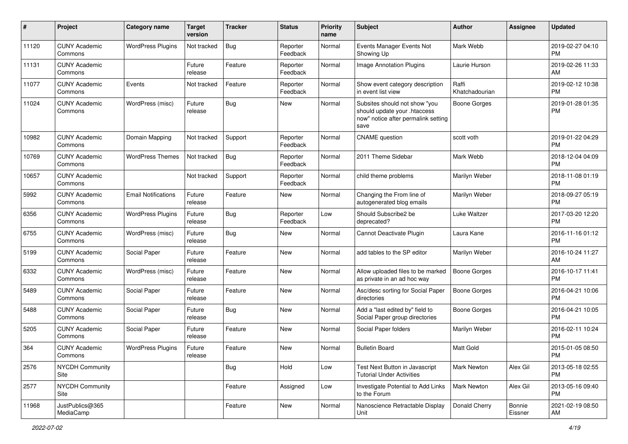| #     | Project                         | <b>Category name</b>       | <b>Target</b><br>version | <b>Tracker</b> | <b>Status</b>        | <b>Priority</b><br>name | Subject                                                                                                      | Author                  | <b>Assignee</b>   | <b>Updated</b>                |
|-------|---------------------------------|----------------------------|--------------------------|----------------|----------------------|-------------------------|--------------------------------------------------------------------------------------------------------------|-------------------------|-------------------|-------------------------------|
| 11120 | <b>CUNY Academic</b><br>Commons | <b>WordPress Plugins</b>   | Not tracked              | Bug            | Reporter<br>Feedback | Normal                  | Events Manager Events Not<br>Showing Up                                                                      | Mark Webb               |                   | 2019-02-27 04:10<br><b>PM</b> |
| 11131 | <b>CUNY Academic</b><br>Commons |                            | Future<br>release        | Feature        | Reporter<br>Feedback | Normal                  | Image Annotation Plugins                                                                                     | Laurie Hurson           |                   | 2019-02-26 11:33<br>AM        |
| 11077 | <b>CUNY Academic</b><br>Commons | Events                     | Not tracked              | Feature        | Reporter<br>Feedback | Normal                  | Show event category description<br>in event list view                                                        | Raffi<br>Khatchadourian |                   | 2019-02-12 10:38<br><b>PM</b> |
| 11024 | <b>CUNY Academic</b><br>Commons | WordPress (misc)           | Future<br>release        | Bug            | <b>New</b>           | Normal                  | Subsites should not show "you<br>should update your .htaccess<br>now" notice after permalink setting<br>save | <b>Boone Gorges</b>     |                   | 2019-01-28 01:35<br><b>PM</b> |
| 10982 | <b>CUNY Academic</b><br>Commons | Domain Mapping             | Not tracked              | Support        | Reporter<br>Feedback | Normal                  | <b>CNAME</b> question                                                                                        | scott voth              |                   | 2019-01-22 04:29<br><b>PM</b> |
| 10769 | <b>CUNY Academic</b><br>Commons | <b>WordPress Themes</b>    | Not tracked              | Bug            | Reporter<br>Feedback | Normal                  | 2011 Theme Sidebar                                                                                           | Mark Webb               |                   | 2018-12-04 04:09<br><b>PM</b> |
| 10657 | <b>CUNY Academic</b><br>Commons |                            | Not tracked              | Support        | Reporter<br>Feedback | Normal                  | child theme problems                                                                                         | Marilyn Weber           |                   | 2018-11-08 01:19<br><b>PM</b> |
| 5992  | <b>CUNY Academic</b><br>Commons | <b>Email Notifications</b> | Future<br>release        | Feature        | New                  | Normal                  | Changing the From line of<br>autogenerated blog emails                                                       | Marilyn Weber           |                   | 2018-09-27 05:19<br><b>PM</b> |
| 6356  | <b>CUNY Academic</b><br>Commons | <b>WordPress Plugins</b>   | Future<br>release        | Bug            | Reporter<br>Feedback | Low                     | Should Subscribe2 be<br>deprecated?                                                                          | Luke Waltzer            |                   | 2017-03-20 12:20<br><b>PM</b> |
| 6755  | <b>CUNY Academic</b><br>Commons | WordPress (misc)           | Future<br>release        | Bug            | <b>New</b>           | Normal                  | Cannot Deactivate Plugin                                                                                     | Laura Kane              |                   | 2016-11-16 01:12<br><b>PM</b> |
| 5199  | <b>CUNY Academic</b><br>Commons | Social Paper               | Future<br>release        | Feature        | <b>New</b>           | Normal                  | add tables to the SP editor                                                                                  | Marilyn Weber           |                   | 2016-10-24 11:27<br>AM        |
| 6332  | <b>CUNY Academic</b><br>Commons | WordPress (misc)           | Future<br>release        | Feature        | <b>New</b>           | Normal                  | Allow uploaded files to be marked<br>as private in an ad hoc way                                             | Boone Gorges            |                   | 2016-10-17 11:41<br><b>PM</b> |
| 5489  | <b>CUNY Academic</b><br>Commons | Social Paper               | Future<br>release        | Feature        | <b>New</b>           | Normal                  | Asc/desc sorting for Social Paper<br>directories                                                             | Boone Gorges            |                   | 2016-04-21 10:06<br><b>PM</b> |
| 5488  | <b>CUNY Academic</b><br>Commons | Social Paper               | Future<br>release        | Bug            | <b>New</b>           | Normal                  | Add a "last edited by" field to<br>Social Paper group directories                                            | <b>Boone Gorges</b>     |                   | 2016-04-21 10:05<br><b>PM</b> |
| 5205  | <b>CUNY Academic</b><br>Commons | Social Paper               | Future<br>release        | Feature        | New                  | Normal                  | Social Paper folders                                                                                         | Marilyn Weber           |                   | 2016-02-11 10:24<br><b>PM</b> |
| 364   | <b>CUNY Academic</b><br>Commons | <b>WordPress Plugins</b>   | Future<br>release        | Feature        | New                  | Normal                  | <b>Bulletin Board</b>                                                                                        | Matt Gold               |                   | 2015-01-05 08:50<br>PM        |
| 2576  | <b>NYCDH Community</b><br>Site  |                            |                          | Bug            | Hold                 | Low                     | Test Next Button in Javascript<br><b>Tutorial Under Activities</b>                                           | <b>Mark Newton</b>      | Alex Gil          | 2013-05-18 02:55<br><b>PM</b> |
| 2577  | <b>NYCDH Community</b><br>Site  |                            |                          | Feature        | Assigned             | Low                     | Investigate Potential to Add Links<br>to the Forum                                                           | <b>Mark Newton</b>      | Alex Gil          | 2013-05-16 09:40<br><b>PM</b> |
| 11968 | JustPublics@365<br>MediaCamp    |                            |                          | Feature        | New                  | Normal                  | Nanoscience Retractable Display<br>Unit                                                                      | Donald Cherry           | Bonnie<br>Eissner | 2021-02-19 08:50<br>AM        |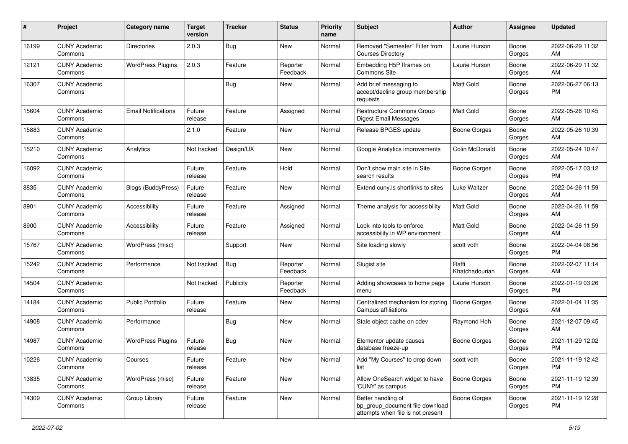| #     | Project                         | <b>Category name</b>       | <b>Target</b><br>version | <b>Tracker</b> | <b>Status</b>        | <b>Priority</b><br>name | <b>Subject</b>                                                                             | Author                  | <b>Assignee</b> | <b>Updated</b>                |
|-------|---------------------------------|----------------------------|--------------------------|----------------|----------------------|-------------------------|--------------------------------------------------------------------------------------------|-------------------------|-----------------|-------------------------------|
| 16199 | <b>CUNY Academic</b><br>Commons | <b>Directories</b>         | 2.0.3                    | <b>Bug</b>     | New                  | Normal                  | Removed "Semester" Filter from<br><b>Courses Directory</b>                                 | Laurie Hurson           | Boone<br>Gorges | 2022-06-29 11:32<br>AM        |
| 12121 | <b>CUNY Academic</b><br>Commons | <b>WordPress Plugins</b>   | 2.0.3                    | Feature        | Reporter<br>Feedback | Normal                  | Embedding H5P Iframes on<br>Commons Site                                                   | Laurie Hurson           | Boone<br>Gorges | 2022-06-29 11:32<br>AM        |
| 16307 | <b>CUNY Academic</b><br>Commons |                            |                          | <b>Bug</b>     | New                  | Normal                  | Add brief messaging to<br>accept/decline group membership<br>requests                      | Matt Gold               | Boone<br>Gorges | 2022-06-27 06:13<br>PM        |
| 15604 | <b>CUNY Academic</b><br>Commons | <b>Email Notifications</b> | Future<br>release        | Feature        | Assigned             | Normal                  | Restructure Commons Group<br>Digest Email Messages                                         | Matt Gold               | Boone<br>Gorges | 2022-05-26 10:45<br>AM        |
| 15883 | <b>CUNY Academic</b><br>Commons |                            | 2.1.0                    | Feature        | New                  | Normal                  | Release BPGES update                                                                       | Boone Gorges            | Boone<br>Gorges | 2022-05-26 10:39<br>AM        |
| 15210 | <b>CUNY Academic</b><br>Commons | Analytics                  | Not tracked              | Design/UX      | New                  | Normal                  | Google Analytics improvements                                                              | Colin McDonald          | Boone<br>Gorges | 2022-05-24 10:47<br>AM        |
| 16092 | <b>CUNY Academic</b><br>Commons |                            | Future<br>release        | Feature        | Hold                 | Normal                  | Don't show main site in Site<br>search results                                             | Boone Gorges            | Boone<br>Gorges | 2022-05-17 03:12<br><b>PM</b> |
| 8835  | <b>CUNY Academic</b><br>Commons | <b>Blogs (BuddyPress)</b>  | Future<br>release        | Feature        | New                  | Normal                  | Extend cuny.is shortlinks to sites                                                         | Luke Waltzer            | Boone<br>Gorges | 2022-04-26 11:59<br>AM        |
| 8901  | <b>CUNY Academic</b><br>Commons | Accessibility              | Future<br>release        | Feature        | Assigned             | Normal                  | Theme analysis for accessibility                                                           | <b>Matt Gold</b>        | Boone<br>Gorges | 2022-04-26 11:59<br>AM        |
| 8900  | <b>CUNY Academic</b><br>Commons | Accessibility              | Future<br>release        | Feature        | Assigned             | Normal                  | Look into tools to enforce<br>accessibility in WP environment                              | <b>Matt Gold</b>        | Boone<br>Gorges | 2022-04-26 11:59<br>AM        |
| 15767 | <b>CUNY Academic</b><br>Commons | WordPress (misc)           |                          | Support        | New                  | Normal                  | Site loading slowly                                                                        | scott voth              | Boone<br>Gorges | 2022-04-04 08:56<br><b>PM</b> |
| 15242 | <b>CUNY Academic</b><br>Commons | Performance                | Not tracked              | Bug            | Reporter<br>Feedback | Normal                  | Slugist site                                                                               | Raffi<br>Khatchadourian | Boone<br>Gorges | 2022-02-07 11:14<br>AM        |
| 14504 | <b>CUNY Academic</b><br>Commons |                            | Not tracked              | Publicity      | Reporter<br>Feedback | Normal                  | Adding showcases to home page<br>menu                                                      | Laurie Hurson           | Boone<br>Gorges | 2022-01-19 03:26<br><b>PM</b> |
| 14184 | <b>CUNY Academic</b><br>Commons | <b>Public Portfolio</b>    | Future<br>release        | Feature        | New                  | Normal                  | Centralized mechanism for storing<br>Campus affiliations                                   | Boone Gorges            | Boone<br>Gorges | 2022-01-04 11:35<br>AM        |
| 14908 | <b>CUNY Academic</b><br>Commons | Performance                |                          | Bug            | New                  | Normal                  | Stale object cache on cdev                                                                 | Raymond Hoh             | Boone<br>Gorges | 2021-12-07 09:45<br>AM        |
| 14987 | <b>CUNY Academic</b><br>Commons | <b>WordPress Plugins</b>   | Future<br>release        | Bug            | New                  | Normal                  | Elementor update causes<br>database freeze-up                                              | Boone Gorges            | Boone<br>Gorges | 2021-11-29 12:02<br>PM        |
| 10226 | <b>CUNY Academic</b><br>Commons | Courses                    | Future<br>release        | Feature        | New                  | Normal                  | Add "My Courses" to drop down<br>list                                                      | scott voth              | Boone<br>Gorges | 2021-11-19 12:42<br><b>PM</b> |
| 13835 | <b>CUNY Academic</b><br>Commons | WordPress (misc)           | Future<br>release        | Feature        | New                  | Normal                  | Allow OneSearch widget to have<br>'CUNY' as campus                                         | Boone Gorges            | Boone<br>Gorges | 2021-11-19 12:39<br><b>PM</b> |
| 14309 | <b>CUNY Academic</b><br>Commons | Group Library              | Future<br>release        | Feature        | New                  | Normal                  | Better handling of<br>bp_group_document file download<br>attempts when file is not present | Boone Gorges            | Boone<br>Gorges | 2021-11-19 12:28<br>PM        |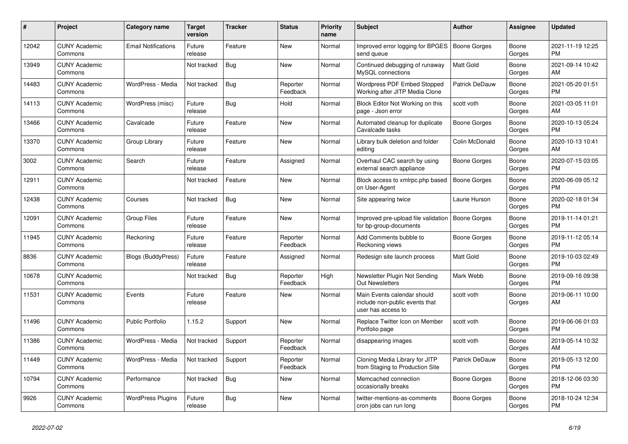| #     | Project                         | <b>Category name</b>       | <b>Target</b><br>version | <b>Tracker</b> | <b>Status</b>        | <b>Priority</b><br>name | <b>Subject</b>                                                                      | <b>Author</b>       | Assignee        | <b>Updated</b>                |
|-------|---------------------------------|----------------------------|--------------------------|----------------|----------------------|-------------------------|-------------------------------------------------------------------------------------|---------------------|-----------------|-------------------------------|
| 12042 | <b>CUNY Academic</b><br>Commons | <b>Email Notifications</b> | Future<br>release        | Feature        | New                  | Normal                  | Improved error logging for BPGES<br>send queue                                      | Boone Gorges        | Boone<br>Gorges | 2021-11-19 12:25<br><b>PM</b> |
| 13949 | <b>CUNY Academic</b><br>Commons |                            | Not tracked              | Bug            | New                  | Normal                  | Continued debugging of runaway<br>MySQL connections                                 | <b>Matt Gold</b>    | Boone<br>Gorges | 2021-09-14 10:42<br>AM        |
| 14483 | <b>CUNY Academic</b><br>Commons | WordPress - Media          | Not tracked              | Bug            | Reporter<br>Feedback | Normal                  | Wordpress PDF Embed Stopped<br>Working after JITP Media Clone                       | Patrick DeDauw      | Boone<br>Gorges | 2021-05-20 01:51<br><b>PM</b> |
| 14113 | <b>CUNY Academic</b><br>Commons | WordPress (misc)           | Future<br>release        | Bug            | Hold                 | Normal                  | Block Editor Not Working on this<br>page - Json error                               | scott voth          | Boone<br>Gorges | 2021-03-05 11:01<br>AM        |
| 13466 | <b>CUNY Academic</b><br>Commons | Cavalcade                  | Future<br>release        | Feature        | New                  | Normal                  | Automated cleanup for duplicate<br>Cavalcade tasks                                  | Boone Gorges        | Boone<br>Gorges | 2020-10-13 05:24<br><b>PM</b> |
| 13370 | <b>CUNY Academic</b><br>Commons | Group Library              | Future<br>release        | Feature        | New                  | Normal                  | Library bulk deletion and folder<br>editing                                         | Colin McDonald      | Boone<br>Gorges | 2020-10-13 10:41<br>AM        |
| 3002  | <b>CUNY Academic</b><br>Commons | Search                     | Future<br>release        | Feature        | Assigned             | Normal                  | Overhaul CAC search by using<br>external search appliance                           | Boone Gorges        | Boone<br>Gorges | 2020-07-15 03:05<br><b>PM</b> |
| 12911 | <b>CUNY Academic</b><br>Commons |                            | Not tracked              | Feature        | <b>New</b>           | Normal                  | Block access to xmlrpc.php based<br>on User-Agent                                   | Boone Gorges        | Boone<br>Gorges | 2020-06-09 05:12<br><b>PM</b> |
| 12438 | <b>CUNY Academic</b><br>Commons | Courses                    | Not tracked              | Bug            | New                  | Normal                  | Site appearing twice                                                                | Laurie Hurson       | Boone<br>Gorges | 2020-02-18 01:34<br><b>PM</b> |
| 12091 | <b>CUNY Academic</b><br>Commons | <b>Group Files</b>         | Future<br>release        | Feature        | New                  | Normal                  | Improved pre-upload file validation<br>for bp-group-documents                       | <b>Boone Gorges</b> | Boone<br>Gorges | 2019-11-14 01:21<br><b>PM</b> |
| 11945 | <b>CUNY Academic</b><br>Commons | Reckoning                  | Future<br>release        | Feature        | Reporter<br>Feedback | Normal                  | Add Comments bubble to<br>Reckoning views                                           | Boone Gorges        | Boone<br>Gorges | 2019-11-12 05:14<br><b>PM</b> |
| 8836  | <b>CUNY Academic</b><br>Commons | <b>Blogs (BuddyPress)</b>  | Future<br>release        | Feature        | Assigned             | Normal                  | Redesign site launch process                                                        | <b>Matt Gold</b>    | Boone<br>Gorges | 2019-10-03 02:49<br><b>PM</b> |
| 10678 | <b>CUNY Academic</b><br>Commons |                            | Not tracked              | <b>Bug</b>     | Reporter<br>Feedback | High                    | Newsletter Plugin Not Sending<br><b>Out Newsletters</b>                             | Mark Webb           | Boone<br>Gorges | 2019-09-16 09:38<br><b>PM</b> |
| 11531 | <b>CUNY Academic</b><br>Commons | Events                     | Future<br>release        | Feature        | New                  | Normal                  | Main Events calendar should<br>include non-public events that<br>user has access to | scott voth          | Boone<br>Gorges | 2019-06-11 10:00<br>AM        |
| 11496 | <b>CUNY Academic</b><br>Commons | <b>Public Portfolio</b>    | 1.15.2                   | Support        | New                  | Normal                  | Replace Twitter Icon on Member<br>Portfolio page                                    | scott voth          | Boone<br>Gorges | 2019-06-06 01:03<br>PM        |
| 11386 | <b>CUNY Academic</b><br>Commons | WordPress - Media          | Not tracked              | Support        | Reporter<br>Feedback | Normal                  | disappearing images                                                                 | scott voth          | Boone<br>Gorges | 2019-05-14 10:32<br>AM        |
| 11449 | <b>CUNY Academic</b><br>Commons | WordPress - Media          | Not tracked              | Support        | Reporter<br>Feedback | Normal                  | Cloning Media Library for JITP<br>from Staging to Production Site                   | Patrick DeDauw      | Boone<br>Gorges | 2019-05-13 12:00<br><b>PM</b> |
| 10794 | <b>CUNY Academic</b><br>Commons | Performance                | Not tracked              | <b>Bug</b>     | New                  | Normal                  | Memcached connection<br>occasionally breaks                                         | Boone Gorges        | Boone<br>Gorges | 2018-12-06 03:30<br><b>PM</b> |
| 9926  | <b>CUNY Academic</b><br>Commons | <b>WordPress Plugins</b>   | Future<br>release        | Bug            | <b>New</b>           | Normal                  | twitter-mentions-as-comments<br>cron jobs can run long                              | Boone Gorges        | Boone<br>Gorges | 2018-10-24 12:34<br><b>PM</b> |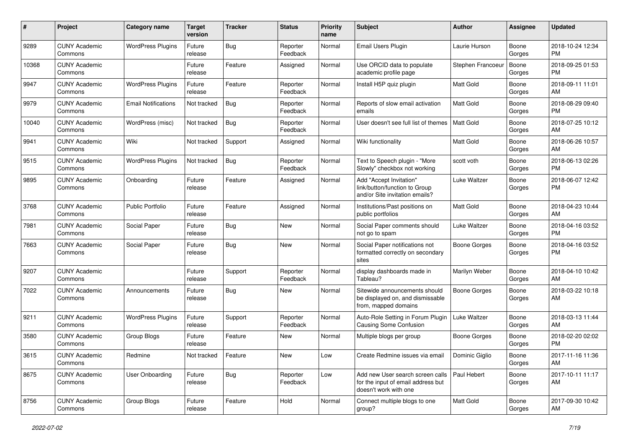| #     | Project                         | <b>Category name</b>       | <b>Target</b><br>version | <b>Tracker</b> | <b>Status</b>        | <b>Priority</b><br>name | <b>Subject</b>                                                                                  | <b>Author</b>       | <b>Assignee</b> | <b>Updated</b>                |
|-------|---------------------------------|----------------------------|--------------------------|----------------|----------------------|-------------------------|-------------------------------------------------------------------------------------------------|---------------------|-----------------|-------------------------------|
| 9289  | <b>CUNY Academic</b><br>Commons | <b>WordPress Plugins</b>   | Future<br>release        | <b>Bug</b>     | Reporter<br>Feedback | Normal                  | Email Users Plugin                                                                              | Laurie Hurson       | Boone<br>Gorges | 2018-10-24 12:34<br>PM        |
| 10368 | <b>CUNY Academic</b><br>Commons |                            | Future<br>release        | Feature        | Assigned             | Normal                  | Use ORCID data to populate<br>academic profile page                                             | Stephen Francoeur   | Boone<br>Gorges | 2018-09-25 01:53<br><b>PM</b> |
| 9947  | <b>CUNY Academic</b><br>Commons | <b>WordPress Plugins</b>   | Future<br>release        | Feature        | Reporter<br>Feedback | Normal                  | Install H5P quiz plugin                                                                         | Matt Gold           | Boone<br>Gorges | 2018-09-11 11:01<br>AM        |
| 9979  | <b>CUNY Academic</b><br>Commons | <b>Email Notifications</b> | Not tracked              | Bug            | Reporter<br>Feedback | Normal                  | Reports of slow email activation<br>emails                                                      | <b>Matt Gold</b>    | Boone<br>Gorges | 2018-08-29 09:40<br><b>PM</b> |
| 10040 | <b>CUNY Academic</b><br>Commons | WordPress (misc)           | Not tracked              | <b>Bug</b>     | Reporter<br>Feedback | Normal                  | User doesn't see full list of themes                                                            | Matt Gold           | Boone<br>Gorges | 2018-07-25 10:12<br>AM        |
| 9941  | <b>CUNY Academic</b><br>Commons | Wiki                       | Not tracked              | Support        | Assigned             | Normal                  | Wiki functionality                                                                              | <b>Matt Gold</b>    | Boone<br>Gorges | 2018-06-26 10:57<br>AM        |
| 9515  | <b>CUNY Academic</b><br>Commons | <b>WordPress Plugins</b>   | Not tracked              | Bug            | Reporter<br>Feedback | Normal                  | Text to Speech plugin - "More<br>Slowly" checkbox not working                                   | scott voth          | Boone<br>Gorges | 2018-06-13 02:26<br><b>PM</b> |
| 9895  | <b>CUNY Academic</b><br>Commons | Onboarding                 | Future<br>release        | Feature        | Assigned             | Normal                  | Add "Accept Invitation"<br>link/button/function to Group<br>and/or Site invitation emails?      | <b>Luke Waltzer</b> | Boone<br>Gorges | 2018-06-07 12:42<br><b>PM</b> |
| 3768  | <b>CUNY Academic</b><br>Commons | <b>Public Portfolio</b>    | Future<br>release        | Feature        | Assigned             | Normal                  | Institutions/Past positions on<br>public portfolios                                             | <b>Matt Gold</b>    | Boone<br>Gorges | 2018-04-23 10:44<br>AM        |
| 7981  | <b>CUNY Academic</b><br>Commons | Social Paper               | Future<br>release        | Bug            | New                  | Normal                  | Social Paper comments should<br>not go to spam                                                  | Luke Waltzer        | Boone<br>Gorges | 2018-04-16 03:52<br><b>PM</b> |
| 7663  | <b>CUNY Academic</b><br>Commons | Social Paper               | Future<br>release        | Bug            | New                  | Normal                  | Social Paper notifications not<br>formatted correctly on secondary<br>sites                     | Boone Gorges        | Boone<br>Gorges | 2018-04-16 03:52<br>PM        |
| 9207  | <b>CUNY Academic</b><br>Commons |                            | Future<br>release        | Support        | Reporter<br>Feedback | Normal                  | display dashboards made in<br>Tableau?                                                          | Marilyn Weber       | Boone<br>Gorges | 2018-04-10 10:42<br>AM        |
| 7022  | <b>CUNY Academic</b><br>Commons | Announcements              | Future<br>release        | Bug            | New                  | Normal                  | Sitewide announcements should<br>be displayed on, and dismissable<br>from, mapped domains       | Boone Gorges        | Boone<br>Gorges | 2018-03-22 10:18<br>AM        |
| 9211  | <b>CUNY Academic</b><br>Commons | <b>WordPress Plugins</b>   | Future<br>release        | Support        | Reporter<br>Feedback | Normal                  | Auto-Role Setting in Forum Plugin<br><b>Causing Some Confusion</b>                              | Luke Waltzer        | Boone<br>Gorges | 2018-03-13 11:44<br>AM        |
| 3580  | <b>CUNY Academic</b><br>Commons | Group Blogs                | Future<br>release        | Feature        | New                  | Normal                  | Multiple blogs per group                                                                        | Boone Gorges        | Boone<br>Gorges | 2018-02-20 02:02<br><b>PM</b> |
| 3615  | <b>CUNY Academic</b><br>Commons | Redmine                    | Not tracked              | Feature        | New                  | Low                     | Create Redmine issues via email                                                                 | Dominic Giglio      | Boone<br>Gorges | 2017-11-16 11:36<br>AM        |
| 8675  | <b>CUNY Academic</b><br>Commons | User Onboarding            | Future<br>release        | <b>Bug</b>     | Reporter<br>Feedback | Low                     | Add new User search screen calls<br>for the input of email address but<br>doesn't work with one | Paul Hebert         | Boone<br>Gorges | 2017-10-11 11:17<br>AM        |
| 8756  | <b>CUNY Academic</b><br>Commons | Group Blogs                | Future<br>release        | Feature        | Hold                 | Normal                  | Connect multiple blogs to one<br>group?                                                         | Matt Gold           | Boone<br>Gorges | 2017-09-30 10:42<br>AM        |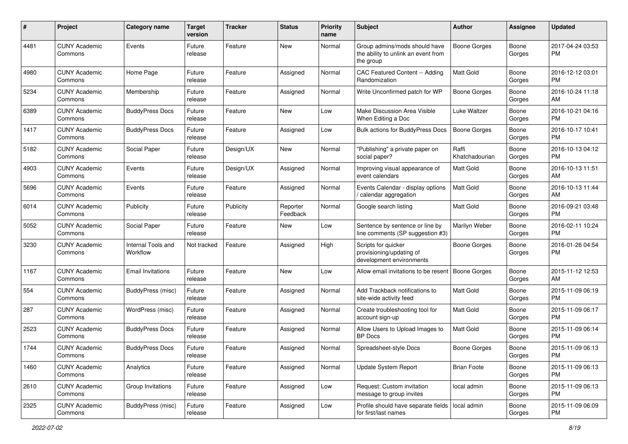| #    | Project                         | <b>Category name</b>           | <b>Target</b><br>version | <b>Tracker</b> | <b>Status</b>        | Priority<br>name | <b>Subject</b>                                                                    | Author                  | <b>Assignee</b> | <b>Updated</b>                |
|------|---------------------------------|--------------------------------|--------------------------|----------------|----------------------|------------------|-----------------------------------------------------------------------------------|-------------------------|-----------------|-------------------------------|
| 4481 | <b>CUNY Academic</b><br>Commons | Events                         | Future<br>release        | Feature        | New                  | Normal           | Group admins/mods should have<br>the ability to unlink an event from<br>the group | <b>Boone Gorges</b>     | Boone<br>Gorges | 2017-04-24 03:53<br><b>PM</b> |
| 4980 | <b>CUNY Academic</b><br>Commons | Home Page                      | Future<br>release        | Feature        | Assigned             | Normal           | CAC Featured Content -- Adding<br>Randomization                                   | <b>Matt Gold</b>        | Boone<br>Gorges | 2016-12-12 03:01<br>PM.       |
| 5234 | <b>CUNY Academic</b><br>Commons | Membership                     | Future<br>release        | Feature        | Assigned             | Normal           | Write Unconfirmed patch for WP                                                    | <b>Boone Gorges</b>     | Boone<br>Gorges | 2016-10-24 11:18<br>AM        |
| 6389 | <b>CUNY Academic</b><br>Commons | <b>BuddyPress Docs</b>         | Future<br>release        | Feature        | New                  | Low              | Make Discussion Area Visible<br>When Editing a Doc                                | Luke Waltzer            | Boone<br>Gorges | 2016-10-21 04:16<br><b>PM</b> |
| 1417 | <b>CUNY Academic</b><br>Commons | <b>BuddyPress Docs</b>         | Future<br>release        | Feature        | Assigned             | Low              | <b>Bulk actions for BuddyPress Docs</b>                                           | Boone Gorges            | Boone<br>Gorges | 2016-10-17 10:41<br><b>PM</b> |
| 5182 | <b>CUNY Academic</b><br>Commons | Social Paper                   | Future<br>release        | Design/UX      | New                  | Normal           | "Publishing" a private paper on<br>social paper?                                  | Raffi<br>Khatchadourian | Boone<br>Gorges | 2016-10-13 04:12<br><b>PM</b> |
| 4903 | <b>CUNY Academic</b><br>Commons | Events                         | Future<br>release        | Design/UX      | Assigned             | Normal           | Improving visual appearance of<br>event calendars                                 | <b>Matt Gold</b>        | Boone<br>Gorges | 2016-10-13 11:51<br>AM        |
| 5696 | <b>CUNY Academic</b><br>Commons | Events                         | Future<br>release        | Feature        | Assigned             | Normal           | Events Calendar - display options<br>/ calendar aggregation                       | <b>Matt Gold</b>        | Boone<br>Gorges | 2016-10-13 11:44<br>AM        |
| 6014 | <b>CUNY Academic</b><br>Commons | Publicity                      | Future<br>release        | Publicity      | Reporter<br>Feedback | Normal           | Google search listing                                                             | <b>Matt Gold</b>        | Boone<br>Gorges | 2016-09-21 03:48<br><b>PM</b> |
| 5052 | <b>CUNY Academic</b><br>Commons | Social Paper                   | Future<br>release        | Feature        | New                  | Low              | Sentence by sentence or line by<br>line comments (SP suggestion #3)               | Marilyn Weber           | Boone<br>Gorges | 2016-02-11 10:24<br><b>PM</b> |
| 3230 | <b>CUNY Academic</b><br>Commons | Internal Tools and<br>Workflow | Not tracked              | Feature        | Assigned             | High             | Scripts for quicker<br>provisioning/updating of<br>development environments       | Boone Gorges            | Boone<br>Gorges | 2016-01-26 04:54<br><b>PM</b> |
| 1167 | <b>CUNY Academic</b><br>Commons | <b>Email Invitations</b>       | Future<br>release        | Feature        | New                  | Low              | Allow email invitations to be resent                                              | Boone Gorges            | Boone<br>Gorges | 2015-11-12 12:53<br>AM        |
| 554  | <b>CUNY Academic</b><br>Commons | BuddyPress (misc)              | Future<br>release        | Feature        | Assigned             | Normal           | Add Trackback notifications to<br>site-wide activity feed                         | Matt Gold               | Boone<br>Gorges | 2015-11-09 06:19<br><b>PM</b> |
| 287  | <b>CUNY Academic</b><br>Commons | WordPress (misc)               | Future<br>release        | Feature        | Assigned             | Normal           | Create troubleshooting tool for<br>account sign-up                                | <b>Matt Gold</b>        | Boone<br>Gorges | 2015-11-09 06:17<br><b>PM</b> |
| 2523 | <b>CUNY Academic</b><br>Commons | <b>BuddyPress Docs</b>         | Future<br>release        | Feature        | Assigned             | Normal           | Allow Users to Upload Images to<br><b>BP</b> Docs                                 | <b>Matt Gold</b>        | Boone<br>Gorges | 2015-11-09 06:14<br><b>PM</b> |
| 1744 | <b>CUNY Academic</b><br>Commons | <b>BuddyPress Docs</b>         | Future<br>release        | Feature        | Assigned             | Normal           | Spreadsheet-style Docs                                                            | <b>Boone Gorges</b>     | Boone<br>Gorges | 2015-11-09 06:13<br>PM        |
| 1460 | <b>CUNY Academic</b><br>Commons | Analytics                      | Future<br>release        | Feature        | Assigned             | Normal           | Update System Report                                                              | <b>Brian Foote</b>      | Boone<br>Gorges | 2015-11-09 06:13<br><b>PM</b> |
| 2610 | <b>CUNY Academic</b><br>Commons | Group Invitations              | Future<br>release        | Feature        | Assigned             | Low              | Request: Custom invitation<br>message to group invites                            | local admin             | Boone<br>Gorges | 2015-11-09 06:13<br><b>PM</b> |
| 2325 | <b>CUNY Academic</b><br>Commons | BuddyPress (misc)              | Future<br>release        | Feature        | Assigned             | Low              | Profile should have separate fields   local admin<br>for first/last names         |                         | Boone<br>Gorges | 2015-11-09 06:09<br><b>PM</b> |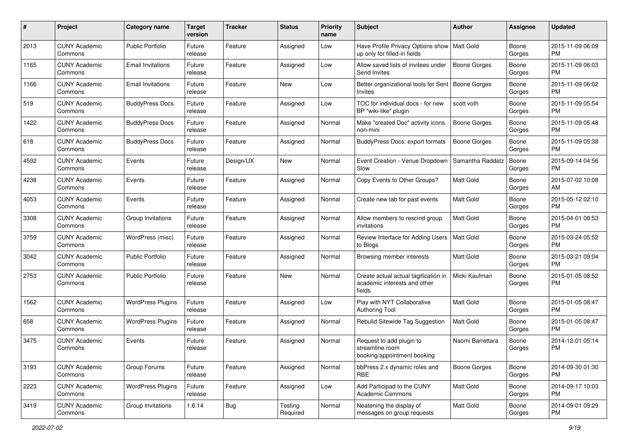| #    | Project                         | <b>Category name</b>     | <b>Target</b><br>version | <b>Tracker</b> | <b>Status</b>       | <b>Priority</b><br>name | Subject                                                                        | Author              | <b>Assignee</b> | <b>Updated</b>                |
|------|---------------------------------|--------------------------|--------------------------|----------------|---------------------|-------------------------|--------------------------------------------------------------------------------|---------------------|-----------------|-------------------------------|
| 2013 | <b>CUNY Academic</b><br>Commons | <b>Public Portfolio</b>  | Future<br>release        | Feature        | Assigned            | Low                     | Have Profile Privacy Options show<br>up only for filled-in fields              | Matt Gold           | Boone<br>Gorges | 2015-11-09 06:09<br>PM.       |
| 1165 | <b>CUNY Academic</b><br>Commons | <b>Email Invitations</b> | Future<br>release        | Feature        | Assigned            | Low                     | Allow saved lists of invitees under<br>Send Invites                            | <b>Boone Gorges</b> | Boone<br>Gorges | 2015-11-09 06:03<br><b>PM</b> |
| 1166 | <b>CUNY Academic</b><br>Commons | <b>Email Invitations</b> | Future<br>release        | Feature        | New                 | Low                     | Better organizational tools for Sent<br>Invites                                | <b>Boone Gorges</b> | Boone<br>Gorges | 2015-11-09 06:02<br><b>PM</b> |
| 519  | <b>CUNY Academic</b><br>Commons | <b>BuddyPress Docs</b>   | Future<br>release        | Feature        | Assigned            | Low                     | TOC for individual docs - for new<br>BP "wiki-like" plugin                     | scott voth          | Boone<br>Gorges | 2015-11-09 05:54<br><b>PM</b> |
| 1422 | <b>CUNY Academic</b><br>Commons | <b>BuddyPress Docs</b>   | Future<br>release        | Feature        | Assigned            | Normal                  | Make "created Doc" activity icons<br>non-mini                                  | Boone Gorges        | Boone<br>Gorges | 2015-11-09 05:48<br><b>PM</b> |
| 618  | <b>CUNY Academic</b><br>Commons | <b>BuddyPress Docs</b>   | Future<br>release        | Feature        | Assigned            | Normal                  | BuddyPress Docs: export formats                                                | <b>Boone Gorges</b> | Boone<br>Gorges | 2015-11-09 05:38<br>PM.       |
| 4592 | <b>CUNY Academic</b><br>Commons | Events                   | Future<br>release        | Design/UX      | New                 | Normal                  | Event Creation - Venue Dropdown<br>Slow                                        | Samantha Raddatz    | Boone<br>Gorges | 2015-09-14 04:56<br>PM        |
| 4238 | <b>CUNY Academic</b><br>Commons | Events                   | Future<br>release        | Feature        | Assigned            | Normal                  | Copy Events to Other Groups?                                                   | <b>Matt Gold</b>    | Boone<br>Gorges | 2015-07-02 10:08<br>AM        |
| 4053 | <b>CUNY Academic</b><br>Commons | Events                   | Future<br>release        | Feature        | Assigned            | Normal                  | Create new tab for past events                                                 | Matt Gold           | Boone<br>Gorges | 2015-05-12 02:10<br><b>PM</b> |
| 3308 | <b>CUNY Academic</b><br>Commons | Group Invitations        | Future<br>release        | Feature        | Assigned            | Normal                  | Allow members to rescind group<br>invitations                                  | <b>Matt Gold</b>    | Boone<br>Gorges | 2015-04-01 08:53<br><b>PM</b> |
| 3759 | <b>CUNY Academic</b><br>Commons | WordPress (misc)         | Future<br>release        | Feature        | Assigned            | Normal                  | Review Interface for Adding Users<br>to Blogs                                  | Matt Gold           | Boone<br>Gorges | 2015-03-24 05:52<br>PM.       |
| 3042 | <b>CUNY Academic</b><br>Commons | <b>Public Portfolio</b>  | Future<br>release        | Feature        | Assigned            | Normal                  | Browsing member interests                                                      | <b>Matt Gold</b>    | Boone<br>Gorges | 2015-03-21 09:04<br><b>PM</b> |
| 2753 | <b>CUNY Academic</b><br>Commons | <b>Public Portfolio</b>  | Future<br>release        | Feature        | New                 | Normal                  | Create actual actual tagification in<br>academic interests and other<br>fields | Micki Kaufman       | Boone<br>Gorges | 2015-01-05 08:52<br><b>PM</b> |
| 1562 | <b>CUNY Academic</b><br>Commons | <b>WordPress Plugins</b> | Future<br>release        | Feature        | Assigned            | Low                     | Play with NYT Collaborative<br><b>Authoring Tool</b>                           | Matt Gold           | Boone<br>Gorges | 2015-01-05 08:47<br><b>PM</b> |
| 658  | <b>CUNY Academic</b><br>Commons | <b>WordPress Plugins</b> | Future<br>release        | Feature        | Assigned            | Normal                  | Rebulid Sitewide Tag Suggestion                                                | Matt Gold           | Boone<br>Gorges | 2015-01-05 08:47<br><b>PM</b> |
| 3475 | <b>CUNY Academic</b><br>Commons | Events                   | Future<br>release        | Feature        | Assigned            | Normal                  | Request to add plugin to<br>streamline room<br>booking/appointment booking     | Naomi Barrettara    | Boone<br>Gorges | 2014-12-01 05:14<br><b>PM</b> |
| 3193 | <b>CUNY Academic</b><br>Commons | Group Forums             | Future<br>release        | Feature        | Assigned            | Normal                  | bbPress 2.x dynamic roles and<br>RBE                                           | Boone Gorges        | Boone<br>Gorges | 2014-09-30 01:30<br>PM        |
| 2223 | <b>CUNY Academic</b><br>Commons | <b>WordPress Plugins</b> | Future<br>release        | Feature        | Assigned            | Low                     | Add Participad to the CUNY<br><b>Academic Commons</b>                          | Matt Gold           | Boone<br>Gorges | 2014-09-17 10:03<br><b>PM</b> |
| 3419 | <b>CUNY Academic</b><br>Commons | Group Invitations        | 1.6.14                   | <b>Bug</b>     | Testing<br>Required | Normal                  | Neatening the display of<br>messages on group requests                         | Matt Gold           | Boone<br>Gorges | 2014-09-01 09:29<br>PM        |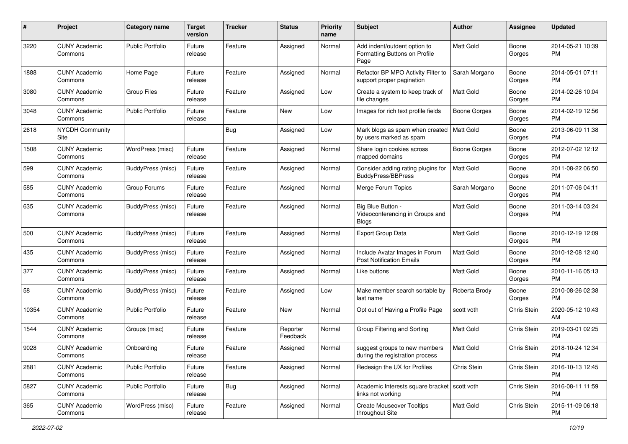| #     | Project                         | <b>Category name</b>     | <b>Target</b><br>version | <b>Tracker</b> | <b>Status</b>        | <b>Priority</b><br>name | Subject                                                               | <b>Author</b>    | <b>Assignee</b> | <b>Updated</b>                |
|-------|---------------------------------|--------------------------|--------------------------|----------------|----------------------|-------------------------|-----------------------------------------------------------------------|------------------|-----------------|-------------------------------|
| 3220  | <b>CUNY Academic</b><br>Commons | <b>Public Portfolio</b>  | Future<br>release        | Feature        | Assigned             | Normal                  | Add indent/outdent option to<br>Formatting Buttons on Profile<br>Page | <b>Matt Gold</b> | Boone<br>Gorges | 2014-05-21 10:39<br>PM.       |
| 1888  | <b>CUNY Academic</b><br>Commons | Home Page                | Future<br>release        | Feature        | Assigned             | Normal                  | Refactor BP MPO Activity Filter to<br>support proper pagination       | Sarah Morgano    | Boone<br>Gorges | 2014-05-01 07:11<br>PM.       |
| 3080  | <b>CUNY Academic</b><br>Commons | Group Files              | Future<br>release        | Feature        | Assigned             | Low                     | Create a system to keep track of<br>file changes                      | Matt Gold        | Boone<br>Gorges | 2014-02-26 10:04<br><b>PM</b> |
| 3048  | <b>CUNY Academic</b><br>Commons | Public Portfolio         | Future<br>release        | Feature        | New                  | Low                     | Images for rich text profile fields                                   | Boone Gorges     | Boone<br>Gorges | 2014-02-19 12:56<br><b>PM</b> |
| 2618  | <b>NYCDH Community</b><br>Site  |                          |                          | Bug            | Assigned             | Low                     | Mark blogs as spam when created<br>by users marked as spam            | Matt Gold        | Boone<br>Gorges | 2013-06-09 11:38<br>PM.       |
| 1508  | <b>CUNY Academic</b><br>Commons | WordPress (misc)         | Future<br>release        | Feature        | Assigned             | Normal                  | Share login cookies across<br>mapped domains                          | Boone Gorges     | Boone<br>Gorges | 2012-07-02 12:12<br><b>PM</b> |
| 599   | <b>CUNY Academic</b><br>Commons | BuddyPress (misc)        | Future<br>release        | Feature        | Assigned             | Normal                  | Consider adding rating plugins for<br>BuddyPress/BBPress              | Matt Gold        | Boone<br>Gorges | 2011-08-22 06:50<br><b>PM</b> |
| 585   | <b>CUNY Academic</b><br>Commons | Group Forums             | Future<br>release        | Feature        | Assigned             | Normal                  | Merge Forum Topics                                                    | Sarah Morgano    | Boone<br>Gorges | 2011-07-06 04:11<br><b>PM</b> |
| 635   | <b>CUNY Academic</b><br>Commons | BuddyPress (misc)        | Future<br>release        | Feature        | Assigned             | Normal                  | Big Blue Button -<br>Videoconferencing in Groups and<br><b>Blogs</b>  | <b>Matt Gold</b> | Boone<br>Gorges | 2011-03-14 03:24<br>PM.       |
| 500   | <b>CUNY Academic</b><br>Commons | BuddyPress (misc)        | Future<br>release        | Feature        | Assigned             | Normal                  | Export Group Data                                                     | <b>Matt Gold</b> | Boone<br>Gorges | 2010-12-19 12:09<br>PM.       |
| 435   | <b>CUNY Academic</b><br>Commons | BuddyPress (misc)        | Future<br>release        | Feature        | Assigned             | Normal                  | Include Avatar Images in Forum<br><b>Post Notification Emails</b>     | <b>Matt Gold</b> | Boone<br>Gorges | 2010-12-08 12:40<br><b>PM</b> |
| 377   | <b>CUNY Academic</b><br>Commons | <b>BuddyPress (misc)</b> | Future<br>release        | Feature        | Assigned             | Normal                  | Like buttons                                                          | Matt Gold        | Boone<br>Gorges | 2010-11-16 05:13<br><b>PM</b> |
| 58    | <b>CUNY Academic</b><br>Commons | BuddyPress (misc)        | Future<br>release        | Feature        | Assigned             | Low                     | Make member search sortable by<br>last name                           | Roberta Brody    | Boone<br>Gorges | 2010-08-26 02:38<br>PM.       |
| 10354 | <b>CUNY Academic</b><br>Commons | Public Portfolio         | Future<br>release        | Feature        | New                  | Normal                  | Opt out of Having a Profile Page                                      | scott voth       | Chris Stein     | 2020-05-12 10:43<br>AM        |
| 1544  | <b>CUNY Academic</b><br>Commons | Groups (misc)            | Future<br>release        | Feature        | Reporter<br>Feedback | Normal                  | Group Filtering and Sorting                                           | Matt Gold        | Chris Stein     | 2019-03-01 02:25<br><b>PM</b> |
| 9028  | <b>CUNY Academic</b><br>Commons | Onboarding               | Future<br>release        | Feature        | Assigned             | Normal                  | suggest groups to new members<br>during the registration process      | Matt Gold        | Chris Stein     | 2018-10-24 12:34<br><b>PM</b> |
| 2881  | <b>CUNY Academic</b><br>Commons | <b>Public Portfolio</b>  | Future<br>release        | Feature        | Assigned             | Normal                  | Redesign the UX for Profiles                                          | Chris Stein      | Chris Stein     | 2016-10-13 12:45<br><b>PM</b> |
| 5827  | <b>CUNY Academic</b><br>Commons | Public Portfolio         | Future<br>release        | <b>Bug</b>     | Assigned             | Normal                  | Academic Interests square bracket   scott voth<br>links not working   |                  | Chris Stein     | 2016-08-11 11:59<br><b>PM</b> |
| 365   | <b>CUNY Academic</b><br>Commons | WordPress (misc)         | Future<br>release        | Feature        | Assigned             | Normal                  | <b>Create Mouseover Tooltips</b><br>throughout Site                   | Matt Gold        | Chris Stein     | 2015-11-09 06:18<br><b>PM</b> |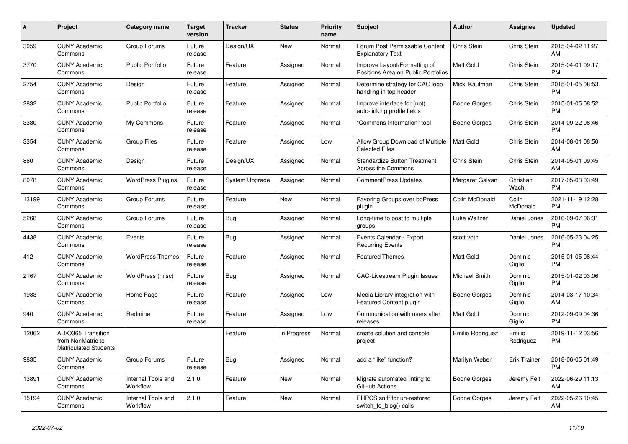| $\pmb{\#}$ | <b>Project</b>                                                          | <b>Category name</b>                  | <b>Target</b><br>version | <b>Tracker</b> | <b>Status</b> | Priority<br>name | <b>Subject</b>                                                      | <b>Author</b>    | Assignee            | <b>Updated</b>                |
|------------|-------------------------------------------------------------------------|---------------------------------------|--------------------------|----------------|---------------|------------------|---------------------------------------------------------------------|------------------|---------------------|-------------------------------|
| 3059       | <b>CUNY Academic</b><br>Commons                                         | Group Forums                          | Future<br>release        | Design/UX      | New           | Normal           | Forum Post Permissable Content<br><b>Explanatory Text</b>           | Chris Stein      | Chris Stein         | 2015-04-02 11:27<br>AM        |
| 3770       | <b>CUNY Academic</b><br>Commons                                         | <b>Public Portfolio</b>               | Future<br>release        | Feature        | Assigned      | Normal           | Improve Layout/Formatting of<br>Positions Area on Public Portfolios | Matt Gold        | Chris Stein         | 2015-04-01 09:17<br><b>PM</b> |
| 2754       | <b>CUNY Academic</b><br>Commons                                         | Design                                | Future<br>release        | Feature        | Assigned      | Normal           | Determine strategy for CAC logo<br>handling in top header           | Micki Kaufman    | Chris Stein         | 2015-01-05 08:53<br><b>PM</b> |
| 2832       | <b>CUNY Academic</b><br>Commons                                         | <b>Public Portfolio</b>               | Future<br>release        | Feature        | Assigned      | Normal           | Improve interface for (not)<br>auto-linking profile fields          | Boone Gorges     | Chris Stein         | 2015-01-05 08:52<br><b>PM</b> |
| 3330       | <b>CUNY Academic</b><br>Commons                                         | My Commons                            | Future<br>release        | Feature        | Assigned      | Normal           | "Commons Information" tool                                          | Boone Gorges     | Chris Stein         | 2014-09-22 08:46<br><b>PM</b> |
| 3354       | <b>CUNY Academic</b><br>Commons                                         | <b>Group Files</b>                    | Future<br>release        | Feature        | Assigned      | Low              | Allow Group Download of Multiple<br><b>Selected Files</b>           | <b>Matt Gold</b> | Chris Stein         | 2014-08-01 08:50<br>AM        |
| 860        | <b>CUNY Academic</b><br>Commons                                         | Design                                | Future<br>release        | Design/UX      | Assigned      | Normal           | <b>Standardize Button Treatment</b><br><b>Across the Commons</b>    | Chris Stein      | Chris Stein         | 2014-05-01 09:45<br>AM        |
| 8078       | <b>CUNY Academic</b><br>Commons                                         | <b>WordPress Plugins</b>              | Future<br>release        | System Upgrade | Assigned      | Normal           | <b>CommentPress Updates</b>                                         | Margaret Galvan  | Christian<br>Wach   | 2017-05-08 03:49<br><b>PM</b> |
| 13199      | <b>CUNY Academic</b><br>Commons                                         | Group Forums                          | Future<br>release        | Feature        | New           | Normal           | Favoring Groups over bbPress<br>plugin                              | Colin McDonald   | Colin<br>McDonald   | 2021-11-19 12:28<br><b>PM</b> |
| 5268       | <b>CUNY Academic</b><br>Commons                                         | Group Forums                          | Future<br>release        | <b>Bug</b>     | Assigned      | Normal           | Long-time to post to multiple<br>groups                             | Luke Waltzer     | Daniel Jones        | 2016-09-07 06:31<br><b>PM</b> |
| 4438       | <b>CUNY Academic</b><br>Commons                                         | Events                                | Future<br>release        | Bug            | Assigned      | Normal           | Events Calendar - Export<br><b>Recurring Events</b>                 | scott voth       | Daniel Jones        | 2016-05-23 04:25<br><b>PM</b> |
| 412        | <b>CUNY Academic</b><br>Commons                                         | <b>WordPress Themes</b>               | Future<br>release        | Feature        | Assigned      | Normal           | <b>Featured Themes</b>                                              | Matt Gold        | Dominic<br>Giglio   | 2015-01-05 08:44<br><b>PM</b> |
| 2167       | <b>CUNY Academic</b><br>Commons                                         | WordPress (misc)                      | Future<br>release        | Bug            | Assigned      | Normal           | <b>CAC-Livestream Plugin Issues</b>                                 | Michael Smith    | Dominic<br>Giglio   | 2015-01-02 03:06<br><b>PM</b> |
| 1983       | <b>CUNY Academic</b><br>Commons                                         | Home Page                             | Future<br>release        | Feature        | Assigned      | Low              | Media Library integration with<br>Featured Content plugin           | Boone Gorges     | Dominic<br>Giglio   | 2014-03-17 10:34<br>AM        |
| 940        | <b>CUNY Academic</b><br>Commons                                         | Redmine                               | Future<br>release        | Feature        | Assigned      | Low              | Communication with users after<br>releases                          | Matt Gold        | Dominic<br>Giglio   | 2012-09-09 04:36<br><b>PM</b> |
| 12062      | AD/O365 Transition<br>from NonMatric to<br><b>Matriculated Students</b> |                                       |                          | Feature        | In Progress   | Normal           | create solution and console<br>project                              | Emilio Rodriguez | Emilio<br>Rodriguez | 2019-11-12 03:56<br><b>PM</b> |
| 9835       | <b>CUNY Academic</b><br>Commons                                         | Group Forums                          | Future<br>release        | Bug            | Assigned      | Normal           | add a "like" function?                                              | Marilyn Weber    | Erik Trainer        | 2018-06-05 01:49<br><b>PM</b> |
| 13891      | <b>CUNY Academic</b><br>Commons                                         | <b>Internal Tools and</b><br>Workflow | 2.1.0                    | Feature        | New           | Normal           | Migrate automated linting to<br>GitHub Actions                      | Boone Gorges     | Jeremy Felt         | 2022-06-29 11:13<br>AM        |
| 15194      | CUNY Academic<br>Commons                                                | Internal Tools and<br>Workflow        | 2.1.0                    | Feature        | <b>New</b>    | Normal           | PHPCS sniff for un-restored<br>switch_to_blog() calls               | Boone Gorges     | Jeremy Felt         | 2022-05-26 10:45<br>AM        |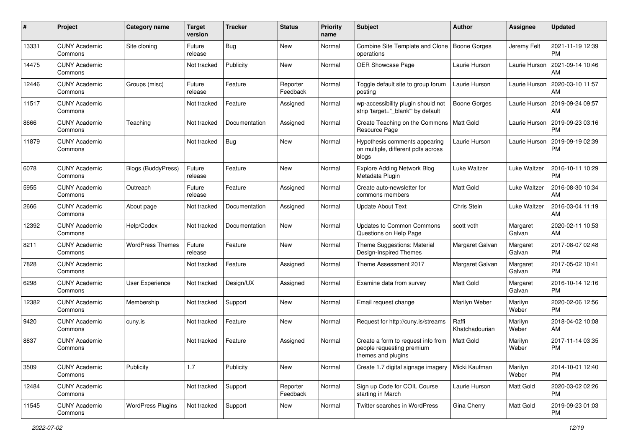| #     | Project                         | <b>Category name</b>      | <b>Target</b><br>version | <b>Tracker</b> | <b>Status</b>        | <b>Priority</b><br>name | Subject                                                                               | Author                  | <b>Assignee</b>    | <b>Updated</b>                |
|-------|---------------------------------|---------------------------|--------------------------|----------------|----------------------|-------------------------|---------------------------------------------------------------------------------------|-------------------------|--------------------|-------------------------------|
| 13331 | <b>CUNY Academic</b><br>Commons | Site cloning              | Future<br>release        | Bug            | <b>New</b>           | Normal                  | Combine Site Template and Clone<br>operations                                         | <b>Boone Gorges</b>     | Jeremy Felt        | 2021-11-19 12:39<br><b>PM</b> |
| 14475 | <b>CUNY Academic</b><br>Commons |                           | Not tracked              | Publicity      | New                  | Normal                  | OER Showcase Page                                                                     | Laurie Hurson           | Laurie Hurson      | 2021-09-14 10:46<br>AM        |
| 12446 | <b>CUNY Academic</b><br>Commons | Groups (misc)             | Future<br>release        | Feature        | Reporter<br>Feedback | Normal                  | Toggle default site to group forum<br>posting                                         | Laurie Hurson           | Laurie Hurson      | 2020-03-10 11:57<br>AM        |
| 11517 | <b>CUNY Academic</b><br>Commons |                           | Not tracked              | Feature        | Assigned             | Normal                  | wp-accessibility plugin should not<br>strip 'target="_blank" by default               | Boone Gorges            | Laurie Hurson      | 2019-09-24 09:57<br>AM        |
| 8666  | <b>CUNY Academic</b><br>Commons | Teaching                  | Not tracked              | Documentation  | Assigned             | Normal                  | Create Teaching on the Commons<br>Resource Page                                       | Matt Gold               | Laurie Hurson      | 2019-09-23 03:16<br><b>PM</b> |
| 11879 | <b>CUNY Academic</b><br>Commons |                           | Not tracked              | <b>Bug</b>     | New                  | Normal                  | Hypothesis comments appearing<br>on multiple, different pdfs across<br>blogs          | Laurie Hurson           | Laurie Hurson      | 2019-09-19 02:39<br><b>PM</b> |
| 6078  | <b>CUNY Academic</b><br>Commons | <b>Blogs (BuddyPress)</b> | Future<br>release        | Feature        | New                  | Normal                  | <b>Explore Adding Network Blog</b><br>Metadata Plugin                                 | Luke Waltzer            | Luke Waltzer       | 2016-10-11 10:29<br><b>PM</b> |
| 5955  | <b>CUNY Academic</b><br>Commons | Outreach                  | Future<br>release        | Feature        | Assigned             | Normal                  | Create auto-newsletter for<br>commons members                                         | Matt Gold               | Luke Waltzer       | 2016-08-30 10:34<br>AM        |
| 2666  | <b>CUNY Academic</b><br>Commons | About page                | Not tracked              | Documentation  | Assigned             | Normal                  | <b>Update About Text</b>                                                              | Chris Stein             | Luke Waltzer       | 2016-03-04 11:19<br>AM        |
| 12392 | <b>CUNY Academic</b><br>Commons | Help/Codex                | Not tracked              | Documentation  | New                  | Normal                  | <b>Updates to Common Commons</b><br>Questions on Help Page                            | scott voth              | Margaret<br>Galvan | 2020-02-11 10:53<br>AM        |
| 8211  | <b>CUNY Academic</b><br>Commons | <b>WordPress Themes</b>   | Future<br>release        | Feature        | <b>New</b>           | Normal                  | Theme Suggestions: Material<br>Design-Inspired Themes                                 | Margaret Galvan         | Margaret<br>Galvan | 2017-08-07 02:48<br><b>PM</b> |
| 7828  | <b>CUNY Academic</b><br>Commons |                           | Not tracked              | Feature        | Assigned             | Normal                  | Theme Assessment 2017                                                                 | Margaret Galvan         | Margaret<br>Galvan | 2017-05-02 10:41<br><b>PM</b> |
| 6298  | <b>CUNY Academic</b><br>Commons | User Experience           | Not tracked              | Design/UX      | Assigned             | Normal                  | Examine data from survey                                                              | <b>Matt Gold</b>        | Margaret<br>Galvan | 2016-10-14 12:16<br><b>PM</b> |
| 12382 | <b>CUNY Academic</b><br>Commons | Membership                | Not tracked              | Support        | New                  | Normal                  | Email request change                                                                  | Marilyn Weber           | Marilyn<br>Weber   | 2020-02-06 12:56<br><b>PM</b> |
| 9420  | <b>CUNY Academic</b><br>Commons | cuny.is                   | Not tracked              | Feature        | New                  | Normal                  | Request for http://cuny.is/streams                                                    | Raffi<br>Khatchadourian | Marilyn<br>Weber   | 2018-04-02 10:08<br>AM        |
| 8837  | <b>CUNY Academic</b><br>Commons |                           | Not tracked              | Feature        | Assigned             | Normal                  | Create a form to request info from<br>people requesting premium<br>themes and plugins | Matt Gold               | Marilyn<br>Weber   | 2017-11-14 03:35<br><b>PM</b> |
| 3509  | <b>CUNY Academic</b><br>Commons | Publicity                 | 1.7                      | Publicity      | New                  | Normal                  | Create 1.7 digital signage imagery                                                    | Micki Kaufman           | Marilyn<br>Weber   | 2014-10-01 12:40<br><b>PM</b> |
| 12484 | <b>CUNY Academic</b><br>Commons |                           | Not tracked              | Support        | Reporter<br>Feedback | Normal                  | Sign up Code for COIL Course<br>starting in March                                     | Laurie Hurson           | Matt Gold          | 2020-03-02 02:26<br><b>PM</b> |
| 11545 | <b>CUNY Academic</b><br>Commons | <b>WordPress Plugins</b>  | Not tracked              | Support        | New                  | Normal                  | Twitter searches in WordPress                                                         | Gina Cherry             | Matt Gold          | 2019-09-23 01:03<br>PM        |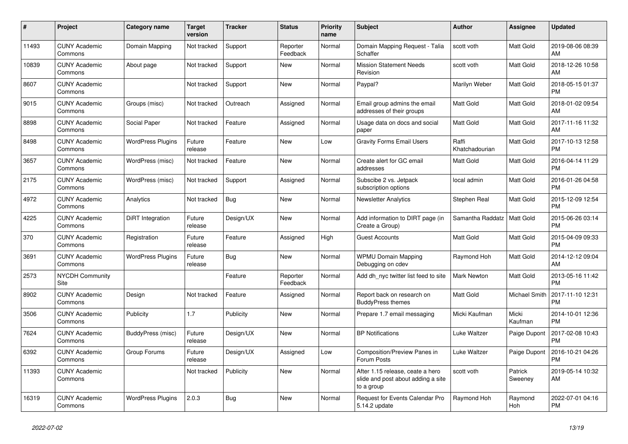| #     | Project                         | Category name            | <b>Target</b><br>version | Tracker    | <b>Status</b>        | <b>Priority</b><br>name | <b>Subject</b>                                                                       | <b>Author</b>           | Assignee           | <b>Updated</b>                |
|-------|---------------------------------|--------------------------|--------------------------|------------|----------------------|-------------------------|--------------------------------------------------------------------------------------|-------------------------|--------------------|-------------------------------|
| 11493 | <b>CUNY Academic</b><br>Commons | Domain Mapping           | Not tracked              | Support    | Reporter<br>Feedback | Normal                  | Domain Mapping Request - Talia<br>Schaffer                                           | scott voth              | <b>Matt Gold</b>   | 2019-08-06 08:39<br>AM        |
| 10839 | <b>CUNY Academic</b><br>Commons | About page               | Not tracked              | Support    | New                  | Normal                  | <b>Mission Statement Needs</b><br>Revision                                           | scott voth              | Matt Gold          | 2018-12-26 10:58<br>AM        |
| 8607  | <b>CUNY Academic</b><br>Commons |                          | Not tracked              | Support    | <b>New</b>           | Normal                  | Paypal?                                                                              | Marilyn Weber           | Matt Gold          | 2018-05-15 01:37<br><b>PM</b> |
| 9015  | <b>CUNY Academic</b><br>Commons | Groups (misc)            | Not tracked              | Outreach   | Assigned             | Normal                  | Email group admins the email<br>addresses of their groups                            | Matt Gold               | Matt Gold          | 2018-01-02 09:54<br>AM        |
| 8898  | <b>CUNY Academic</b><br>Commons | Social Paper             | Not tracked              | Feature    | Assigned             | Normal                  | Usage data on docs and social<br>paper                                               | Matt Gold               | Matt Gold          | 2017-11-16 11:32<br>AM        |
| 8498  | <b>CUNY Academic</b><br>Commons | <b>WordPress Plugins</b> | Future<br>release        | Feature    | New                  | Low                     | <b>Gravity Forms Email Users</b>                                                     | Raffi<br>Khatchadourian | Matt Gold          | 2017-10-13 12:58<br><b>PM</b> |
| 3657  | <b>CUNY Academic</b><br>Commons | WordPress (misc)         | Not tracked              | Feature    | New                  | Normal                  | Create alert for GC email<br>addresses                                               | <b>Matt Gold</b>        | Matt Gold          | 2016-04-14 11:29<br><b>PM</b> |
| 2175  | <b>CUNY Academic</b><br>Commons | WordPress (misc)         | Not tracked              | Support    | Assigned             | Normal                  | Subscibe 2 vs. Jetpack<br>subscription options                                       | local admin             | Matt Gold          | 2016-01-26 04:58<br><b>PM</b> |
| 4972  | <b>CUNY Academic</b><br>Commons | Analytics                | Not tracked              | Bug        | <b>New</b>           | Normal                  | <b>Newsletter Analytics</b>                                                          | Stephen Real            | Matt Gold          | 2015-12-09 12:54<br><b>PM</b> |
| 4225  | <b>CUNY Academic</b><br>Commons | DiRT Integration         | Future<br>release        | Design/UX  | <b>New</b>           | Normal                  | Add information to DIRT page (in<br>Create a Group)                                  | Samantha Raddatz        | <b>Matt Gold</b>   | 2015-06-26 03:14<br><b>PM</b> |
| 370   | <b>CUNY Academic</b><br>Commons | Registration             | Future<br>release        | Feature    | Assigned             | High                    | <b>Guest Accounts</b>                                                                | Matt Gold               | Matt Gold          | 2015-04-09 09:33<br><b>PM</b> |
| 3691  | <b>CUNY Academic</b><br>Commons | <b>WordPress Plugins</b> | Future<br>release        | <b>Bug</b> | <b>New</b>           | Normal                  | <b>WPMU Domain Mapping</b><br>Debugging on cdev                                      | Raymond Hoh             | Matt Gold          | 2014-12-12 09:04<br>AM        |
| 2573  | <b>NYCDH Community</b><br>Site  |                          |                          | Feature    | Reporter<br>Feedback | Normal                  | Add dh nyc twitter list feed to site                                                 | <b>Mark Newton</b>      | Matt Gold          | 2013-05-16 11:42<br><b>PM</b> |
| 8902  | <b>CUNY Academic</b><br>Commons | Design                   | Not tracked              | Feature    | Assigned             | Normal                  | Report back on research on<br><b>BuddyPress themes</b>                               | <b>Matt Gold</b>        | Michael Smith      | 2017-11-10 12:31<br><b>PM</b> |
| 3506  | <b>CUNY Academic</b><br>Commons | Publicity                | 1.7                      | Publicity  | <b>New</b>           | Normal                  | Prepare 1.7 email messaging                                                          | Micki Kaufman           | Micki<br>Kaufman   | 2014-10-01 12:36<br><b>PM</b> |
| 7624  | <b>CUNY Academic</b><br>Commons | BuddyPress (misc)        | Future<br>release        | Design/UX  | <b>New</b>           | Normal                  | <b>BP</b> Notifications                                                              | Luke Waltzer            | Paige Dupont       | 2017-02-08 10:43<br><b>PM</b> |
| 6392  | <b>CUNY Academic</b><br>Commons | Group Forums             | Future<br>release        | Design/UX  | Assigned             | Low                     | Composition/Preview Panes in<br>Forum Posts                                          | Luke Waltzer            | Paige Dupont       | 2016-10-21 04:26<br><b>PM</b> |
| 11393 | <b>CUNY Academic</b><br>Commons |                          | Not tracked              | Publicity  | New                  | Normal                  | After 1.15 release, ceate a hero<br>slide and post about adding a site<br>to a group | scott voth              | Patrick<br>Sweeney | 2019-05-14 10:32<br>AM        |
| 16319 | <b>CUNY Academic</b><br>Commons | <b>WordPress Plugins</b> | 2.0.3                    | Bug        | <b>New</b>           | Normal                  | <b>Request for Events Calendar Pro</b><br>5.14.2 update                              | Raymond Hoh             | Raymond<br>Hoh     | 2022-07-01 04:16<br><b>PM</b> |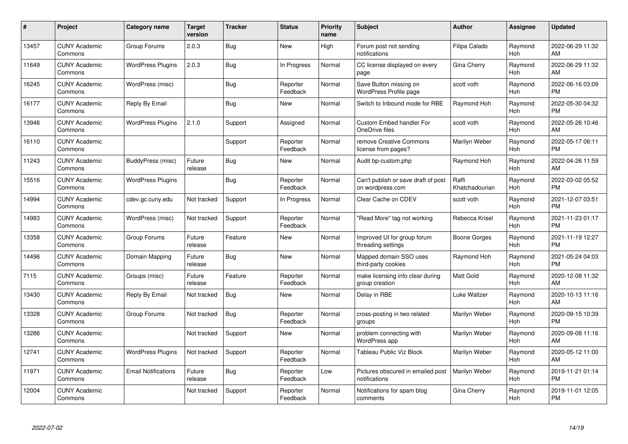| #     | Project                         | <b>Category name</b>       | <b>Target</b><br>version | <b>Tracker</b> | <b>Status</b>        | Priority<br>name | <b>Subject</b>                                          | <b>Author</b>           | <b>Assignee</b> | <b>Updated</b>                |
|-------|---------------------------------|----------------------------|--------------------------|----------------|----------------------|------------------|---------------------------------------------------------|-------------------------|-----------------|-------------------------------|
| 13457 | <b>CUNY Academic</b><br>Commons | Group Forums               | 2.0.3                    | Bug            | <b>New</b>           | High             | Forum post not sending<br>notifications                 | Filipa Calado           | Raymond<br>Hoh  | 2022-06-29 11:32<br>AM        |
| 11649 | <b>CUNY Academic</b><br>Commons | <b>WordPress Plugins</b>   | 2.0.3                    | <b>Bug</b>     | In Progress          | Normal           | CC license displayed on every<br>page                   | Gina Cherry             | Raymond<br>Hoh  | 2022-06-29 11:32<br>AM        |
| 16245 | <b>CUNY Academic</b><br>Commons | WordPress (misc)           |                          | <b>Bug</b>     | Reporter<br>Feedback | Normal           | Save Button missing on<br><b>WordPress Profile page</b> | scott voth              | Raymond<br>Hoh  | 2022-06-16 03:09<br><b>PM</b> |
| 16177 | <b>CUNY Academic</b><br>Commons | Reply By Email             |                          | Bug            | <b>New</b>           | Normal           | Switch to Inbound mode for RBE                          | Raymond Hoh             | Raymond<br>Hoh  | 2022-05-30 04:32<br><b>PM</b> |
| 13946 | <b>CUNY Academic</b><br>Commons | <b>WordPress Plugins</b>   | 2.1.0                    | Support        | Assigned             | Normal           | <b>Custom Embed handler For</b><br>OneDrive files       | scott voth              | Raymond<br>Hoh  | 2022-05-26 10:46<br>AM        |
| 16110 | <b>CUNY Academic</b><br>Commons |                            |                          | Support        | Reporter<br>Feedback | Normal           | remove Creative Commons<br>license from pages?          | Marilyn Weber           | Raymond<br>Hoh  | 2022-05-17 06:11<br><b>PM</b> |
| 11243 | <b>CUNY Academic</b><br>Commons | BuddyPress (misc)          | Future<br>release        | Bug            | New                  | Normal           | Audit bp-custom.php                                     | Raymond Hoh             | Raymond<br>Hoh  | 2022-04-26 11:59<br>AM        |
| 15516 | <b>CUNY Academic</b><br>Commons | <b>WordPress Plugins</b>   |                          | Bug            | Reporter<br>Feedback | Normal           | Can't publish or save draft of post<br>on wordpress.com | Raffi<br>Khatchadourian | Raymond<br>Hoh  | 2022-03-02 05:52<br><b>PM</b> |
| 14994 | <b>CUNY Academic</b><br>Commons | cdev.gc.cuny.edu           | Not tracked              | Support        | In Progress          | Normal           | Clear Cache on CDEV                                     | scott voth              | Raymond<br>Hoh  | 2021-12-07 03:51<br><b>PM</b> |
| 14983 | <b>CUNY Academic</b><br>Commons | WordPress (misc)           | Not tracked              | Support        | Reporter<br>Feedback | Normal           | "Read More" tag not working                             | Rebecca Krisel          | Raymond<br>Hoh  | 2021-11-23 01:17<br><b>PM</b> |
| 13358 | <b>CUNY Academic</b><br>Commons | Group Forums               | Future<br>release        | Feature        | New                  | Normal           | Improved UI for group forum<br>threading settings       | Boone Gorges            | Raymond<br>Hoh  | 2021-11-19 12:27<br><b>PM</b> |
| 14496 | <b>CUNY Academic</b><br>Commons | Domain Mapping             | Future<br>release        | Bug            | <b>New</b>           | Normal           | Mapped domain SSO uses<br>third-party cookies           | Raymond Hoh             | Raymond<br>Hoh  | 2021-05-24 04:03<br><b>PM</b> |
| 7115  | <b>CUNY Academic</b><br>Commons | Groups (misc)              | Future<br>release        | Feature        | Reporter<br>Feedback | Normal           | make licensing info clear during<br>group creation      | Matt Gold               | Raymond<br>Hoh  | 2020-12-08 11:32<br>AM        |
| 13430 | <b>CUNY Academic</b><br>Commons | Reply By Email             | Not tracked              | Bug            | New                  | Normal           | Delay in RBE                                            | Luke Waltzer            | Raymond<br>Hoh  | 2020-10-13 11:16<br>AM        |
| 13328 | <b>CUNY Academic</b><br>Commons | Group Forums               | Not tracked              | Bug            | Reporter<br>Feedback | Normal           | cross-posting in two related<br>groups                  | Marilyn Weber           | Raymond<br>Hoh  | 2020-09-15 10:39<br><b>PM</b> |
| 13286 | <b>CUNY Academic</b><br>Commons |                            | Not tracked              | Support        | New                  | Normal           | problem connecting with<br>WordPress app                | Marilyn Weber           | Raymond<br>Hoh  | 2020-09-08 11:16<br>AM        |
| 12741 | <b>CUNY Academic</b><br>Commons | <b>WordPress Plugins</b>   | Not tracked              | Support        | Reporter<br>Feedback | Normal           | Tableau Public Viz Block                                | Marilyn Weber           | Raymond<br>Hoh  | 2020-05-12 11:00<br>AM        |
| 11971 | <b>CUNY Academic</b><br>Commons | <b>Email Notifications</b> | Future<br>release        | Bug            | Reporter<br>Feedback | Low              | Pictures obscured in emailed post<br>notifications      | Marilyn Weber           | Raymond<br>Hoh  | 2019-11-21 01:14<br><b>PM</b> |
| 12004 | CUNY Academic<br>Commons        |                            | Not tracked              | Support        | Reporter<br>Feedback | Normal           | Notifications for spam blog<br>comments                 | Gina Cherry             | Raymond<br>Hoh  | 2019-11-01 12:05<br><b>PM</b> |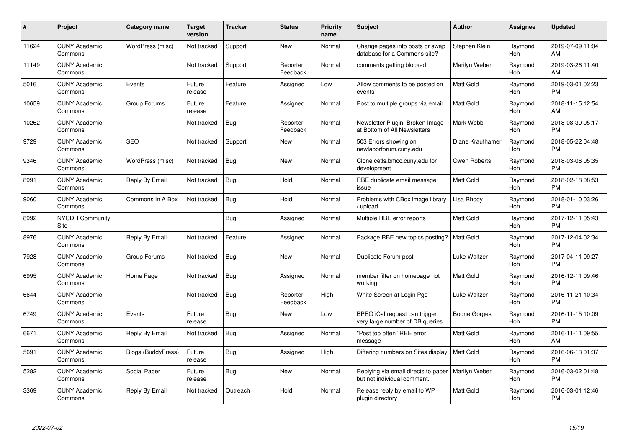| #     | <b>Project</b>                  | Category name             | Target<br>version | <b>Tracker</b> | <b>Status</b>        | <b>Priority</b><br>name | <b>Subject</b>                                                     | <b>Author</b>    | Assignee       | <b>Updated</b>                |
|-------|---------------------------------|---------------------------|-------------------|----------------|----------------------|-------------------------|--------------------------------------------------------------------|------------------|----------------|-------------------------------|
| 11624 | <b>CUNY Academic</b><br>Commons | WordPress (misc)          | Not tracked       | Support        | <b>New</b>           | Normal                  | Change pages into posts or swap<br>database for a Commons site?    | Stephen Klein    | Raymond<br>Hoh | 2019-07-09 11:04<br>AM        |
| 11149 | <b>CUNY Academic</b><br>Commons |                           | Not tracked       | Support        | Reporter<br>Feedback | Normal                  | comments getting blocked                                           | Marilyn Weber    | Raymond<br>Hoh | 2019-03-26 11:40<br>AM        |
| 5016  | <b>CUNY Academic</b><br>Commons | Events                    | Future<br>release | Feature        | Assigned             | Low                     | Allow comments to be posted on<br>events                           | Matt Gold        | Raymond<br>Hoh | 2019-03-01 02:23<br><b>PM</b> |
| 10659 | <b>CUNY Academic</b><br>Commons | Group Forums              | Future<br>release | Feature        | Assigned             | Normal                  | Post to multiple groups via email                                  | <b>Matt Gold</b> | Raymond<br>Hoh | 2018-11-15 12:54<br>AM        |
| 10262 | <b>CUNY Academic</b><br>Commons |                           | Not tracked       | <b>Bug</b>     | Reporter<br>Feedback | Normal                  | Newsletter Plugin: Broken Image<br>at Bottom of All Newsletters    | Mark Webb        | Raymond<br>Hoh | 2018-08-30 05:17<br><b>PM</b> |
| 9729  | <b>CUNY Academic</b><br>Commons | <b>SEO</b>                | Not tracked       | Support        | New                  | Normal                  | 503 Errors showing on<br>newlaborforum.cuny.edu                    | Diane Krauthamer | Raymond<br>Hoh | 2018-05-22 04:48<br><b>PM</b> |
| 9346  | <b>CUNY Academic</b><br>Commons | WordPress (misc)          | Not tracked       | Bug            | <b>New</b>           | Normal                  | Clone cetls.bmcc.cuny.edu for<br>development                       | Owen Roberts     | Raymond<br>Hoh | 2018-03-06 05:35<br><b>PM</b> |
| 8991  | <b>CUNY Academic</b><br>Commons | Reply By Email            | Not tracked       | <b>Bug</b>     | Hold                 | Normal                  | RBE duplicate email message<br>issue                               | <b>Matt Gold</b> | Raymond<br>Hoh | 2018-02-18 08:53<br><b>PM</b> |
| 9060  | <b>CUNY Academic</b><br>Commons | Commons In A Box          | Not tracked       | Bug            | Hold                 | Normal                  | Problems with CBox image library<br>/ upload                       | Lisa Rhody       | Raymond<br>Hoh | 2018-01-10 03:26<br><b>PM</b> |
| 8992  | <b>NYCDH Community</b><br>Site  |                           |                   | Bug            | Assigned             | Normal                  | Multiple RBE error reports                                         | <b>Matt Gold</b> | Raymond<br>Hoh | 2017-12-11 05:43<br><b>PM</b> |
| 8976  | <b>CUNY Academic</b><br>Commons | Reply By Email            | Not tracked       | Feature        | Assigned             | Normal                  | Package RBE new topics posting?                                    | Matt Gold        | Raymond<br>Hoh | 2017-12-04 02:34<br><b>PM</b> |
| 7928  | <b>CUNY Academic</b><br>Commons | Group Forums              | Not tracked       | <b>Bug</b>     | <b>New</b>           | Normal                  | Duplicate Forum post                                               | Luke Waltzer     | Raymond<br>Hoh | 2017-04-11 09:27<br><b>PM</b> |
| 6995  | <b>CUNY Academic</b><br>Commons | Home Page                 | Not tracked       | Bug            | Assigned             | Normal                  | member filter on homepage not<br>working                           | Matt Gold        | Raymond<br>Hoh | 2016-12-11 09:46<br><b>PM</b> |
| 6644  | <b>CUNY Academic</b><br>Commons |                           | Not tracked       | Bug            | Reporter<br>Feedback | High                    | White Screen at Login Pge                                          | Luke Waltzer     | Raymond<br>Hoh | 2016-11-21 10:34<br><b>PM</b> |
| 6749  | <b>CUNY Academic</b><br>Commons | Events                    | Future<br>release | Bug            | New                  | Low                     | BPEO iCal request can trigger<br>very large number of DB queries   | Boone Gorges     | Raymond<br>Hoh | 2016-11-15 10:09<br><b>PM</b> |
| 6671  | <b>CUNY Academic</b><br>Commons | Reply By Email            | Not tracked       | Bug            | Assigned             | Normal                  | "Post too often" RBE error<br>message                              | <b>Matt Gold</b> | Raymond<br>Hoh | 2016-11-11 09:55<br><b>AM</b> |
| 5691  | <b>CUNY Academic</b><br>Commons | <b>Blogs (BuddyPress)</b> | Future<br>release | Bug            | Assigned             | High                    | Differing numbers on Sites display                                 | <b>Matt Gold</b> | Raymond<br>Hoh | 2016-06-13 01:37<br><b>PM</b> |
| 5282  | <b>CUNY Academic</b><br>Commons | Social Paper              | Future<br>release | <b>Bug</b>     | New                  | Normal                  | Replying via email directs to paper<br>but not individual comment. | Marilyn Weber    | Raymond<br>Hoh | 2016-03-02 01:48<br><b>PM</b> |
| 3369  | <b>CUNY Academic</b><br>Commons | Reply By Email            | Not tracked       | Outreach       | Hold                 | Normal                  | Release reply by email to WP<br>plugin directory                   | <b>Matt Gold</b> | Raymond<br>Hoh | 2016-03-01 12:46<br>PM        |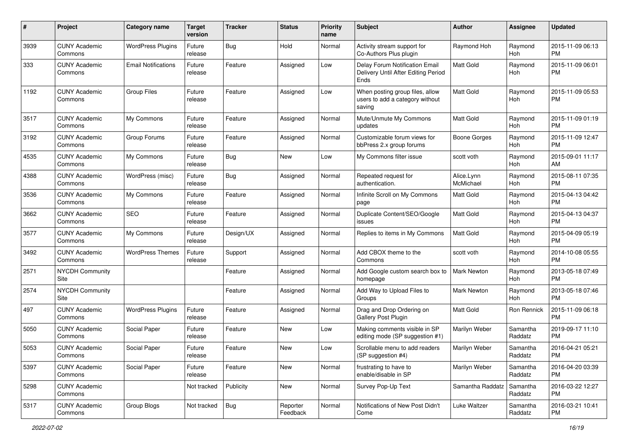| #    | Project                         | <b>Category name</b>       | <b>Target</b><br>version | Tracker    | <b>Status</b>        | <b>Priority</b><br>name | <b>Subject</b>                                                                | Author                  | Assignee            | <b>Updated</b>                |
|------|---------------------------------|----------------------------|--------------------------|------------|----------------------|-------------------------|-------------------------------------------------------------------------------|-------------------------|---------------------|-------------------------------|
| 3939 | <b>CUNY Academic</b><br>Commons | <b>WordPress Plugins</b>   | Future<br>release        | Bug        | Hold                 | Normal                  | Activity stream support for<br>Co-Authors Plus plugin                         | Raymond Hoh             | Raymond<br>Hoh      | 2015-11-09 06:13<br><b>PM</b> |
| 333  | <b>CUNY Academic</b><br>Commons | <b>Email Notifications</b> | Future<br>release        | Feature    | Assigned             | Low                     | Delay Forum Notification Email<br>Delivery Until After Editing Period<br>Ends | Matt Gold               | Raymond<br>Hoh      | 2015-11-09 06:01<br><b>PM</b> |
| 1192 | <b>CUNY Academic</b><br>Commons | <b>Group Files</b>         | Future<br>release        | Feature    | Assigned             | Low                     | When posting group files, allow<br>users to add a category without<br>saving  | Matt Gold               | Raymond<br>Hoh      | 2015-11-09 05:53<br><b>PM</b> |
| 3517 | <b>CUNY Academic</b><br>Commons | My Commons                 | Future<br>release        | Feature    | Assigned             | Normal                  | Mute/Unmute My Commons<br>updates                                             | <b>Matt Gold</b>        | Raymond<br>Hoh      | 2015-11-09 01:19<br><b>PM</b> |
| 3192 | <b>CUNY Academic</b><br>Commons | Group Forums               | Future<br>release        | Feature    | Assigned             | Normal                  | Customizable forum views for<br>bbPress 2.x group forums                      | Boone Gorges            | Raymond<br>Hoh      | 2015-11-09 12:47<br><b>PM</b> |
| 4535 | <b>CUNY Academic</b><br>Commons | My Commons                 | Future<br>release        | Bug        | New                  | Low                     | My Commons filter issue                                                       | scott voth              | Raymond<br>Hoh      | 2015-09-01 11:17<br>AM        |
| 4388 | <b>CUNY Academic</b><br>Commons | WordPress (misc)           | Future<br>release        | Bug        | Assigned             | Normal                  | Repeated request for<br>authentication.                                       | Alice.Lynn<br>McMichael | Raymond<br>Hoh      | 2015-08-11 07:35<br><b>PM</b> |
| 3536 | <b>CUNY Academic</b><br>Commons | My Commons                 | Future<br>release        | Feature    | Assigned             | Normal                  | Infinite Scroll on My Commons<br>page                                         | <b>Matt Gold</b>        | Raymond<br>Hoh      | 2015-04-13 04:42<br><b>PM</b> |
| 3662 | <b>CUNY Academic</b><br>Commons | <b>SEO</b>                 | Future<br>release        | Feature    | Assigned             | Normal                  | Duplicate Content/SEO/Google<br>issues                                        | <b>Matt Gold</b>        | Raymond<br>Hoh      | 2015-04-13 04:37<br><b>PM</b> |
| 3577 | <b>CUNY Academic</b><br>Commons | My Commons                 | Future<br>release        | Design/UX  | Assigned             | Normal                  | Replies to items in My Commons                                                | <b>Matt Gold</b>        | Raymond<br>Hoh      | 2015-04-09 05:19<br><b>PM</b> |
| 3492 | <b>CUNY Academic</b><br>Commons | <b>WordPress Themes</b>    | Future<br>release        | Support    | Assigned             | Normal                  | Add CBOX theme to the<br>Commons                                              | scott voth              | Raymond<br>Hoh      | 2014-10-08 05:55<br><b>PM</b> |
| 2571 | <b>NYCDH Community</b><br>Site  |                            |                          | Feature    | Assigned             | Normal                  | Add Google custom search box to<br>homepage                                   | <b>Mark Newton</b>      | Raymond<br>Hoh      | 2013-05-18 07:49<br><b>PM</b> |
| 2574 | <b>NYCDH Community</b><br>Site  |                            |                          | Feature    | Assigned             | Normal                  | Add Way to Upload Files to<br>Groups                                          | <b>Mark Newton</b>      | Raymond<br>Hoh      | 2013-05-18 07:46<br><b>PM</b> |
| 497  | <b>CUNY Academic</b><br>Commons | <b>WordPress Plugins</b>   | Future<br>release        | Feature    | Assigned             | Normal                  | Drag and Drop Ordering on<br>Gallery Post Plugin                              | <b>Matt Gold</b>        | Ron Rennick         | 2015-11-09 06:18<br><b>PM</b> |
| 5050 | <b>CUNY Academic</b><br>Commons | Social Paper               | Future<br>release        | Feature    | New                  | Low                     | Making comments visible in SP<br>editing mode (SP suggestion #1)              | Marilyn Weber           | Samantha<br>Raddatz | 2019-09-17 11:10<br><b>PM</b> |
| 5053 | <b>CUNY Academic</b><br>Commons | Social Paper               | Future<br>release        | Feature    | New                  | Low                     | Scrollable menu to add readers<br>(SP suggestion #4)                          | Marilyn Weber           | Samantha<br>Raddatz | 2016-04-21 05:21<br>PM        |
| 5397 | <b>CUNY Academic</b><br>Commons | Social Paper               | Future<br>release        | Feature    | New                  | Normal                  | frustrating to have to<br>enable/disable in SP                                | Marilyn Weber           | Samantha<br>Raddatz | 2016-04-20 03:39<br><b>PM</b> |
| 5298 | <b>CUNY Academic</b><br>Commons |                            | Not tracked              | Publicity  | New                  | Normal                  | Survey Pop-Up Text                                                            | Samantha Raddatz        | Samantha<br>Raddatz | 2016-03-22 12:27<br><b>PM</b> |
| 5317 | <b>CUNY Academic</b><br>Commons | Group Blogs                | Not tracked              | <b>Bug</b> | Reporter<br>Feedback | Normal                  | Notifications of New Post Didn't<br>Come                                      | Luke Waltzer            | Samantha<br>Raddatz | 2016-03-21 10:41<br><b>PM</b> |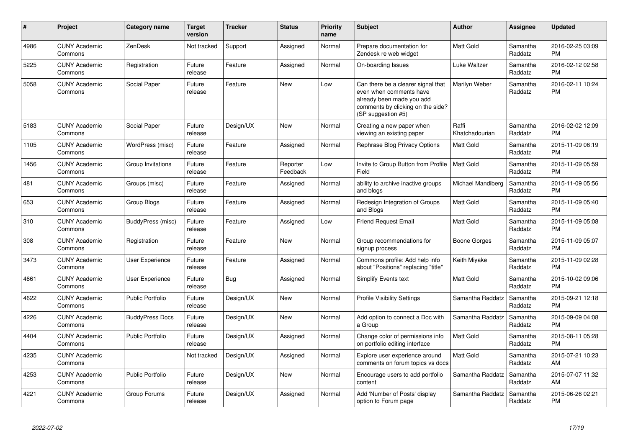| #    | Project                         | <b>Category name</b>    | <b>Target</b><br>version | <b>Tracker</b> | <b>Status</b>        | <b>Priority</b><br>name | <b>Subject</b>                                                                                                                                        | <b>Author</b>           | <b>Assignee</b>     | <b>Updated</b>                |
|------|---------------------------------|-------------------------|--------------------------|----------------|----------------------|-------------------------|-------------------------------------------------------------------------------------------------------------------------------------------------------|-------------------------|---------------------|-------------------------------|
| 4986 | <b>CUNY Academic</b><br>Commons | ZenDesk                 | Not tracked              | Support        | Assigned             | Normal                  | Prepare documentation for<br>Zendesk re web widget                                                                                                    | <b>Matt Gold</b>        | Samantha<br>Raddatz | 2016-02-25 03:09<br><b>PM</b> |
| 5225 | <b>CUNY Academic</b><br>Commons | Registration            | Future<br>release        | Feature        | Assigned             | Normal                  | On-boarding Issues                                                                                                                                    | Luke Waltzer            | Samantha<br>Raddatz | 2016-02-12 02:58<br><b>PM</b> |
| 5058 | <b>CUNY Academic</b><br>Commons | Social Paper            | Future<br>release        | Feature        | New                  | Low                     | Can there be a clearer signal that<br>even when comments have<br>already been made you add<br>comments by clicking on the side?<br>(SP suggestion #5) | Marilyn Weber           | Samantha<br>Raddatz | 2016-02-11 10:24<br><b>PM</b> |
| 5183 | <b>CUNY Academic</b><br>Commons | Social Paper            | Future<br>release        | Design/UX      | <b>New</b>           | Normal                  | Creating a new paper when<br>viewing an existing paper                                                                                                | Raffi<br>Khatchadourian | Samantha<br>Raddatz | 2016-02-02 12:09<br><b>PM</b> |
| 1105 | <b>CUNY Academic</b><br>Commons | WordPress (misc)        | Future<br>release        | Feature        | Assigned             | Normal                  | Rephrase Blog Privacy Options                                                                                                                         | <b>Matt Gold</b>        | Samantha<br>Raddatz | 2015-11-09 06:19<br><b>PM</b> |
| 1456 | <b>CUNY Academic</b><br>Commons | Group Invitations       | Future<br>release        | Feature        | Reporter<br>Feedback | Low                     | Invite to Group Button from Profile<br>Field                                                                                                          | <b>Matt Gold</b>        | Samantha<br>Raddatz | 2015-11-09 05:59<br><b>PM</b> |
| 481  | <b>CUNY Academic</b><br>Commons | Groups (misc)           | Future<br>release        | Feature        | Assigned             | Normal                  | ability to archive inactive groups<br>and blogs                                                                                                       | Michael Mandiberg       | Samantha<br>Raddatz | 2015-11-09 05:56<br><b>PM</b> |
| 653  | <b>CUNY Academic</b><br>Commons | Group Blogs             | Future<br>release        | Feature        | Assigned             | Normal                  | Redesign Integration of Groups<br>and Blogs                                                                                                           | Matt Gold               | Samantha<br>Raddatz | 2015-11-09 05:40<br><b>PM</b> |
| 310  | <b>CUNY Academic</b><br>Commons | BuddyPress (misc)       | Future<br>release        | Feature        | Assigned             | Low                     | <b>Friend Request Email</b>                                                                                                                           | <b>Matt Gold</b>        | Samantha<br>Raddatz | 2015-11-09 05:08<br><b>PM</b> |
| 308  | <b>CUNY Academic</b><br>Commons | Registration            | Future<br>release        | Feature        | <b>New</b>           | Normal                  | Group recommendations for<br>signup process                                                                                                           | Boone Gorges            | Samantha<br>Raddatz | 2015-11-09 05:07<br><b>PM</b> |
| 3473 | <b>CUNY Academic</b><br>Commons | <b>User Experience</b>  | Future<br>release        | Feature        | Assigned             | Normal                  | Commons profile: Add help info<br>about "Positions" replacing "title"                                                                                 | Keith Miyake            | Samantha<br>Raddatz | 2015-11-09 02:28<br><b>PM</b> |
| 4661 | <b>CUNY Academic</b><br>Commons | <b>User Experience</b>  | Future<br>release        | Bug            | Assigned             | Normal                  | Simplify Events text                                                                                                                                  | Matt Gold               | Samantha<br>Raddatz | 2015-10-02 09:06<br><b>PM</b> |
| 4622 | <b>CUNY Academic</b><br>Commons | <b>Public Portfolio</b> | Future<br>release        | Design/UX      | New                  | Normal                  | <b>Profile Visibility Settings</b>                                                                                                                    | Samantha Raddatz        | Samantha<br>Raddatz | 2015-09-21 12:18<br><b>PM</b> |
| 4226 | <b>CUNY Academic</b><br>Commons | <b>BuddyPress Docs</b>  | Future<br>release        | Design/UX      | <b>New</b>           | Normal                  | Add option to connect a Doc with<br>a Group                                                                                                           | Samantha Raddatz        | Samantha<br>Raddatz | 2015-09-09 04:08<br><b>PM</b> |
| 4404 | <b>CUNY Academic</b><br>Commons | <b>Public Portfolio</b> | Future<br>release        | Design/UX      | Assigned             | Normal                  | Change color of permissions info<br>on portfolio editing interface                                                                                    | Matt Gold               | Samantha<br>Raddatz | 2015-08-11 05:28<br><b>PM</b> |
| 4235 | <b>CUNY Academic</b><br>Commons |                         | Not tracked              | Design/UX      | Assigned             | Normal                  | Explore user experience around<br>comments on forum topics vs docs                                                                                    | <b>Matt Gold</b>        | Samantha<br>Raddatz | 2015-07-21 10:23<br>AM        |
| 4253 | <b>CUNY Academic</b><br>Commons | <b>Public Portfolio</b> | Future<br>release        | Design/UX      | New                  | Normal                  | Encourage users to add portfolio<br>content                                                                                                           | Samantha Raddatz        | Samantha<br>Raddatz | 2015-07-07 11:32<br>AM        |
| 4221 | <b>CUNY Academic</b><br>Commons | Group Forums            | Future<br>release        | Design/UX      | Assigned             | Normal                  | Add 'Number of Posts' display<br>option to Forum page                                                                                                 | Samantha Raddatz        | Samantha<br>Raddatz | 2015-06-26 02:21<br><b>PM</b> |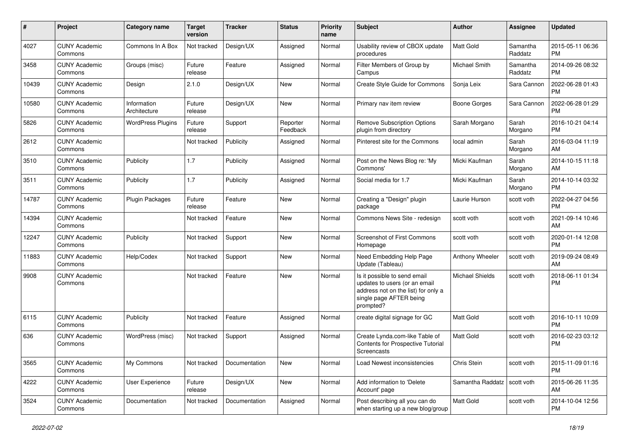| #     | Project                         | Category name               | <b>Target</b><br>version | <b>Tracker</b> | <b>Status</b>        | Priority<br>name | Subject                                                                                                                                      | Author                        | <b>Assignee</b>     | <b>Updated</b>                |
|-------|---------------------------------|-----------------------------|--------------------------|----------------|----------------------|------------------|----------------------------------------------------------------------------------------------------------------------------------------------|-------------------------------|---------------------|-------------------------------|
| 4027  | <b>CUNY Academic</b><br>Commons | Commons In A Box            | Not tracked              | Design/UX      | Assigned             | Normal           | Usability review of CBOX update<br>procedures                                                                                                | <b>Matt Gold</b>              | Samantha<br>Raddatz | 2015-05-11 06:36<br><b>PM</b> |
| 3458  | <b>CUNY Academic</b><br>Commons | Groups (misc)               | Future<br>release        | Feature        | Assigned             | Normal           | Filter Members of Group by<br>Campus                                                                                                         | Michael Smith                 | Samantha<br>Raddatz | 2014-09-26 08:32<br><b>PM</b> |
| 10439 | <b>CUNY Academic</b><br>Commons | Design                      | 2.1.0                    | Design/UX      | <b>New</b>           | Normal           | Create Style Guide for Commons                                                                                                               | Sonja Leix                    | Sara Cannon         | 2022-06-28 01:43<br><b>PM</b> |
| 10580 | <b>CUNY Academic</b><br>Commons | Information<br>Architecture | Future<br>release        | Design/UX      | <b>New</b>           | Normal           | Primary nav item review                                                                                                                      | Boone Gorges                  | Sara Cannon         | 2022-06-28 01:29<br><b>PM</b> |
| 5826  | <b>CUNY Academic</b><br>Commons | <b>WordPress Plugins</b>    | Future<br>release        | Support        | Reporter<br>Feedback | Normal           | <b>Remove Subscription Options</b><br>plugin from directory                                                                                  | Sarah Morgano                 | Sarah<br>Morgano    | 2016-10-21 04:14<br><b>PM</b> |
| 2612  | <b>CUNY Academic</b><br>Commons |                             | Not tracked              | Publicity      | Assigned             | Normal           | Pinterest site for the Commons                                                                                                               | local admin                   | Sarah<br>Morgano    | 2016-03-04 11:19<br>AM        |
| 3510  | <b>CUNY Academic</b><br>Commons | Publicity                   | 1.7                      | Publicity      | Assigned             | Normal           | Post on the News Blog re: 'My<br>Commons'                                                                                                    | Micki Kaufman                 | Sarah<br>Morgano    | 2014-10-15 11:18<br>AM        |
| 3511  | <b>CUNY Academic</b><br>Commons | Publicity                   | 1.7                      | Publicity      | Assigned             | Normal           | Social media for 1.7                                                                                                                         | Micki Kaufman                 | Sarah<br>Morgano    | 2014-10-14 03:32<br><b>PM</b> |
| 14787 | <b>CUNY Academic</b><br>Commons | <b>Plugin Packages</b>      | Future<br>release        | Feature        | New                  | Normal           | Creating a "Design" plugin<br>package                                                                                                        | Laurie Hurson                 | scott voth          | 2022-04-27 04:56<br><b>PM</b> |
| 14394 | <b>CUNY Academic</b><br>Commons |                             | Not tracked              | Feature        | <b>New</b>           | Normal           | Commons News Site - redesign                                                                                                                 | scott voth                    | scott voth          | 2021-09-14 10:46<br>AM        |
| 12247 | <b>CUNY Academic</b><br>Commons | Publicity                   | Not tracked              | Support        | <b>New</b>           | Normal           | <b>Screenshot of First Commons</b><br>Homepage                                                                                               | scott voth                    | scott voth          | 2020-01-14 12:08<br><b>PM</b> |
| 11883 | <b>CUNY Academic</b><br>Commons | Help/Codex                  | Not tracked              | Support        | <b>New</b>           | Normal           | Need Embedding Help Page<br>Update (Tableau)                                                                                                 | Anthony Wheeler               | scott voth          | 2019-09-24 08:49<br>AM        |
| 9908  | <b>CUNY Academic</b><br>Commons |                             | Not tracked              | Feature        | New                  | Normal           | Is it possible to send email<br>updates to users (or an email<br>address not on the list) for only a<br>single page AFTER being<br>prompted? | <b>Michael Shields</b>        | scott voth          | 2018-06-11 01:34<br><b>PM</b> |
| 6115  | <b>CUNY Academic</b><br>Commons | Publicity                   | Not tracked              | Feature        | Assigned             | Normal           | create digital signage for GC                                                                                                                | <b>Matt Gold</b>              | scott voth          | 2016-10-11 10:09<br><b>PM</b> |
| 636   | <b>CUNY Academic</b><br>Commons | WordPress (misc)            | Not tracked              | Support        | Assigned             | Normal           | Create Lynda.com-like Table of<br>Contents for Prospective Tutorial<br>Screencasts                                                           | <b>Matt Gold</b>              | scott voth          | 2016-02-23 03:12<br><b>PM</b> |
| 3565  | <b>CUNY Academic</b><br>Commons | My Commons                  | Not tracked              | Documentation  | New                  | Normal           | Load Newest inconsistencies                                                                                                                  | Chris Stein                   | scott voth          | 2015-11-09 01:16<br><b>PM</b> |
| 4222  | <b>CUNY Academic</b><br>Commons | User Experience             | Future<br>release        | Design/UX      | New                  | Normal           | Add information to 'Delete<br>Account' page                                                                                                  | Samantha Raddatz   scott voth |                     | 2015-06-26 11:35<br>AM        |
| 3524  | <b>CUNY Academic</b><br>Commons | Documentation               | Not tracked              | Documentation  | Assigned             | Normal           | Post describing all you can do<br>when starting up a new blog/group                                                                          | Matt Gold                     | scott voth          | 2014-10-04 12:56<br><b>PM</b> |